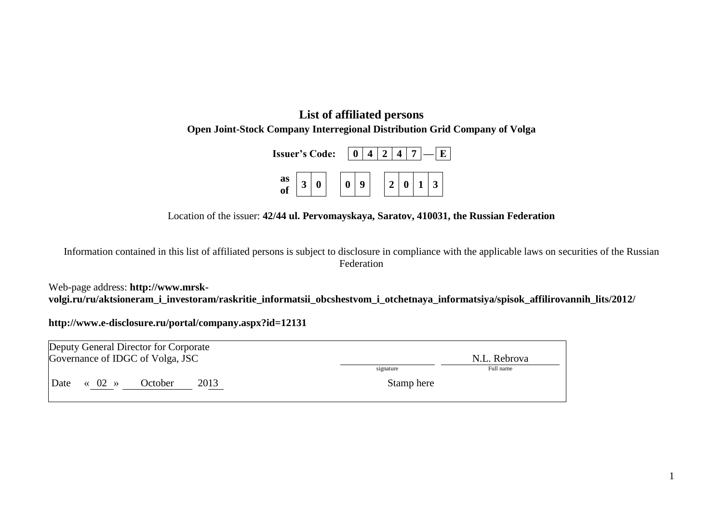## **List of affiliated persons Open Joint-Stock Company Interregional Distribution Grid Company of Volga**

| <b>Issuer's Code:</b> |  |  | $\pm$ 0 $\pm$ |  |  |  |  |                |  |
|-----------------------|--|--|---------------|--|--|--|--|----------------|--|
| as<br>of              |  |  |               |  |  |  |  | $\overline{3}$ |  |

## Location of the issuer: **42/44 ul. Pervomayskaya, Saratov, 410031, the Russian Federation**

Information contained in this list of affiliated persons is subject to disclosure in compliance with the applicable laws on securities of the Russian Federation

Web-page address: **http://www.mrskvolgi.ru/ru/aktsioneram\_i\_investoram/raskritie\_informatsii\_obcshestvom\_i\_otchetnaya\_informatsiya/spisok\_affilirovannih\_lits/2012/**

**<http://www.e-disclosure.ru/portal/company.aspx?id=12131>**

| Deputy General Director for Corporate           |            |              |  |  |  |  |  |  |
|-------------------------------------------------|------------|--------------|--|--|--|--|--|--|
| Governance of IDGC of Volga, JSC                |            | N.L. Rebrova |  |  |  |  |  |  |
|                                                 | signature  | Full name    |  |  |  |  |  |  |
| 2013<br>Date<br>$\langle 02 \rangle$<br>October | Stamp here |              |  |  |  |  |  |  |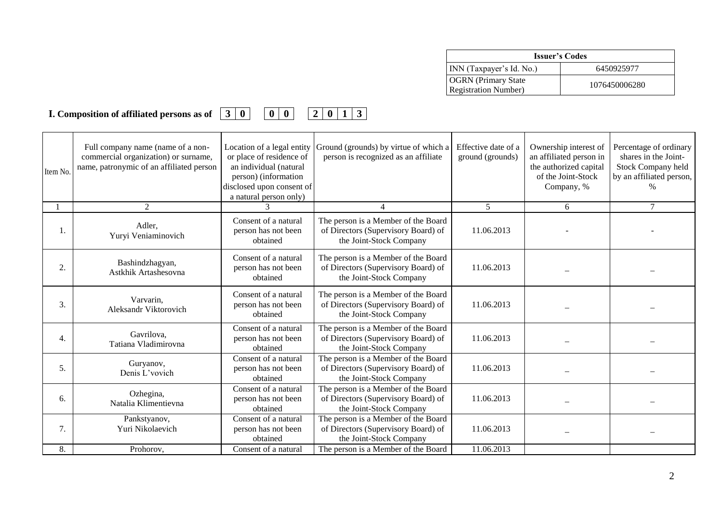| <b>Issuer's Codes</b>                                      |               |  |  |  |  |
|------------------------------------------------------------|---------------|--|--|--|--|
| INN (Taxpayer's Id. No.)                                   | 6450925977    |  |  |  |  |
| <b>OGRN</b> (Primary State)<br><b>Registration Number)</b> | 1076450006280 |  |  |  |  |

**I. Composition of affiliated persons as of 3 0 0 0 2 0 1 3**

| Item No. | Full company name (name of a non-<br>commercial organization) or surname,<br>name, patronymic of an affiliated person | Location of a legal entity<br>or place of residence of<br>an individual (natural<br>person) (information<br>disclosed upon consent of<br>a natural person only) | Ground (grounds) by virtue of which a<br>person is recognized as an affiliate                         | Effective date of a<br>ground (grounds) | Ownership interest of<br>an affiliated person in<br>the authorized capital<br>of the Joint-Stock<br>Company, % | Percentage of ordinary<br>shares in the Joint-<br>Stock Company held<br>by an affiliated person, |
|----------|-----------------------------------------------------------------------------------------------------------------------|-----------------------------------------------------------------------------------------------------------------------------------------------------------------|-------------------------------------------------------------------------------------------------------|-----------------------------------------|----------------------------------------------------------------------------------------------------------------|--------------------------------------------------------------------------------------------------|
|          | $\overline{2}$                                                                                                        |                                                                                                                                                                 |                                                                                                       | 5                                       | 6                                                                                                              | $\tau$                                                                                           |
| 1.       | Adler,<br>Yuryi Veniaminovich                                                                                         | Consent of a natural<br>person has not been<br>obtained                                                                                                         | The person is a Member of the Board<br>of Directors (Supervisory Board) of<br>the Joint-Stock Company | 11.06.2013                              |                                                                                                                |                                                                                                  |
| 2.       | Bashindzhagyan,<br>Astkhik Artashesovna                                                                               | Consent of a natural<br>person has not been<br>obtained                                                                                                         | The person is a Member of the Board<br>of Directors (Supervisory Board) of<br>the Joint-Stock Company | 11.06.2013                              |                                                                                                                |                                                                                                  |
| 3.       | Varvarin.<br>Aleksandr Viktorovich                                                                                    | Consent of a natural<br>person has not been<br>obtained                                                                                                         | The person is a Member of the Board<br>of Directors (Supervisory Board) of<br>the Joint-Stock Company | 11.06.2013                              |                                                                                                                |                                                                                                  |
| 4.       | Gavrilova,<br>Tatiana Vladimirovna                                                                                    | Consent of a natural<br>person has not been<br>obtained                                                                                                         | The person is a Member of the Board<br>of Directors (Supervisory Board) of<br>the Joint-Stock Company | 11.06.2013                              |                                                                                                                |                                                                                                  |
| 5.       | Guryanov,<br>Denis L'vovich                                                                                           | Consent of a natural<br>person has not been<br>obtained                                                                                                         | The person is a Member of the Board<br>of Directors (Supervisory Board) of<br>the Joint-Stock Company | 11.06.2013                              |                                                                                                                |                                                                                                  |
| 6.       | Ozhegina,<br>Natalia Klimentievna                                                                                     | Consent of a natural<br>person has not been<br>obtained                                                                                                         | The person is a Member of the Board<br>of Directors (Supervisory Board) of<br>the Joint-Stock Company | 11.06.2013                              |                                                                                                                |                                                                                                  |
| 7.       | Pankstyanov,<br>Yuri Nikolaevich                                                                                      | Consent of a natural<br>person has not been<br>obtained                                                                                                         | The person is a Member of the Board<br>of Directors (Supervisory Board) of<br>the Joint-Stock Company | 11.06.2013                              |                                                                                                                |                                                                                                  |
| 8.       | Prohorov,                                                                                                             | Consent of a natural                                                                                                                                            | The person is a Member of the Board                                                                   | 11.06.2013                              |                                                                                                                |                                                                                                  |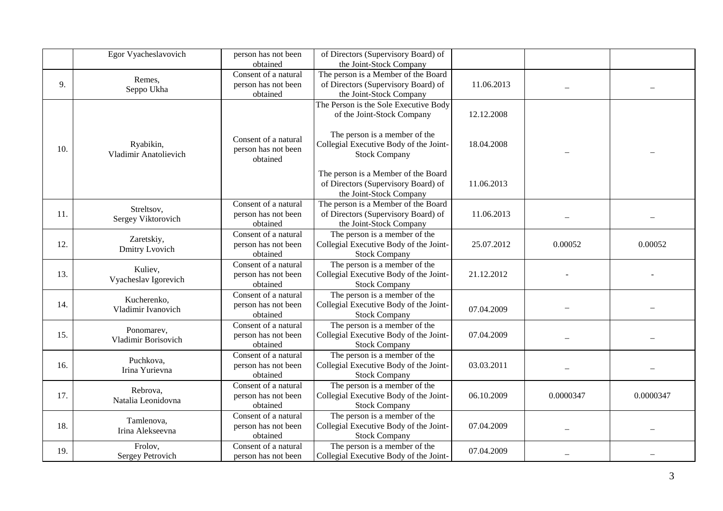|     | Egor Vyacheslavovich               | person has not been<br>obtained                         | of Directors (Supervisory Board) of<br>the Joint-Stock Company                                        |            |           |           |
|-----|------------------------------------|---------------------------------------------------------|-------------------------------------------------------------------------------------------------------|------------|-----------|-----------|
| 9.  | Remes,<br>Seppo Ukha               | Consent of a natural<br>person has not been<br>obtained | The person is a Member of the Board<br>of Directors (Supervisory Board) of<br>the Joint-Stock Company | 11.06.2013 |           |           |
|     |                                    |                                                         | The Person is the Sole Executive Body<br>of the Joint-Stock Company                                   | 12.12.2008 |           |           |
| 10. | Ryabikin,<br>Vladimir Anatolievich | Consent of a natural<br>person has not been<br>obtained | The person is a member of the<br>Collegial Executive Body of the Joint-<br><b>Stock Company</b>       | 18.04.2008 |           |           |
|     |                                    |                                                         | The person is a Member of the Board<br>of Directors (Supervisory Board) of<br>the Joint-Stock Company | 11.06.2013 |           |           |
| 11. | Streltsov,<br>Sergey Viktorovich   | Consent of a natural<br>person has not been<br>obtained | The person is a Member of the Board<br>of Directors (Supervisory Board) of<br>the Joint-Stock Company | 11.06.2013 |           |           |
| 12. | Zaretskiy,<br>Dmitry Lvovich       | Consent of a natural<br>person has not been<br>obtained | The person is a member of the<br>Collegial Executive Body of the Joint-<br><b>Stock Company</b>       | 25.07.2012 | 0.00052   | 0.00052   |
| 13. | Kuliev,<br>Vyacheslav Igorevich    | Consent of a natural<br>person has not been<br>obtained | The person is a member of the<br>Collegial Executive Body of the Joint-<br><b>Stock Company</b>       | 21.12.2012 |           |           |
| 14. | Kucherenko,<br>Vladimir Ivanovich  | Consent of a natural<br>person has not been<br>obtained | The person is a member of the<br>Collegial Executive Body of the Joint-<br><b>Stock Company</b>       | 07.04.2009 |           |           |
| 15. | Ponomarev,<br>Vladimir Borisovich  | Consent of a natural<br>person has not been<br>obtained | The person is a member of the<br>Collegial Executive Body of the Joint-<br><b>Stock Company</b>       | 07.04.2009 |           |           |
| 16. | Puchkova,<br>Irina Yurievna        | Consent of a natural<br>person has not been<br>obtained | The person is a member of the<br>Collegial Executive Body of the Joint-<br><b>Stock Company</b>       | 03.03.2011 |           |           |
| 17. | Rebrova,<br>Natalia Leonidovna     | Consent of a natural<br>person has not been<br>obtained | The person is a member of the<br>Collegial Executive Body of the Joint-<br><b>Stock Company</b>       | 06.10.2009 | 0.0000347 | 0.0000347 |
| 18. | Tamlenova,<br>Irina Alekseevna     | Consent of a natural<br>person has not been<br>obtained | The person is a member of the<br>Collegial Executive Body of the Joint-<br><b>Stock Company</b>       | 07.04.2009 |           |           |
| 19. | Frolov,<br><b>Sergey Petrovich</b> | Consent of a natural<br>person has not been             | The person is a member of the<br>Collegial Executive Body of the Joint-                               | 07.04.2009 |           |           |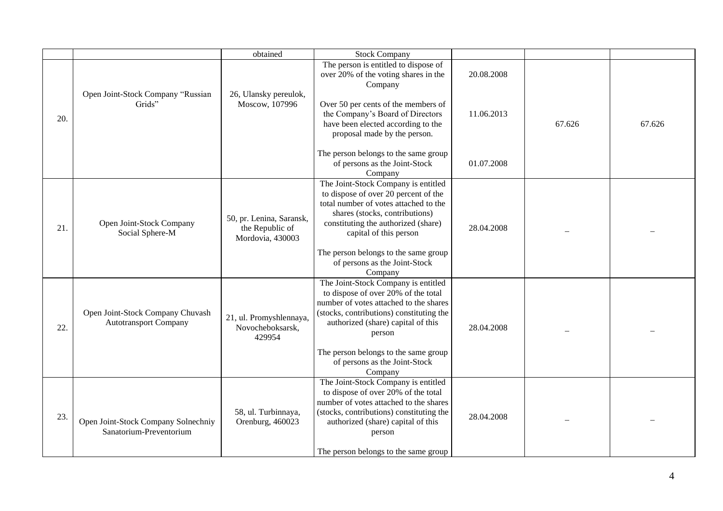|     |                                                                  | obtained                                                        | <b>Stock Company</b>                                                                                                                                                                                                    |            |        |        |
|-----|------------------------------------------------------------------|-----------------------------------------------------------------|-------------------------------------------------------------------------------------------------------------------------------------------------------------------------------------------------------------------------|------------|--------|--------|
|     | Open Joint-Stock Company "Russian<br>Grids"                      | 26, Ulansky pereulok,<br>Moscow, 107996                         | The person is entitled to dispose of<br>over 20% of the voting shares in the<br>Company<br>Over 50 per cents of the members of                                                                                          | 20.08.2008 |        |        |
| 20. |                                                                  |                                                                 | the Company's Board of Directors<br>have been elected according to the<br>proposal made by the person.                                                                                                                  | 11.06.2013 | 67.626 | 67.626 |
|     |                                                                  |                                                                 | The person belongs to the same group<br>of persons as the Joint-Stock<br>Company                                                                                                                                        | 01.07.2008 |        |        |
| 21. | Open Joint-Stock Company<br>Social Sphere-M                      | 50, pr. Lenina, Saransk,<br>the Republic of<br>Mordovia, 430003 | The Joint-Stock Company is entitled<br>to dispose of over 20 percent of the<br>total number of votes attached to the<br>shares (stocks, contributions)<br>constituting the authorized (share)<br>capital of this person | 28.04.2008 |        |        |
|     |                                                                  |                                                                 | The person belongs to the same group<br>of persons as the Joint-Stock<br>Company                                                                                                                                        |            |        |        |
| 22. | Open Joint-Stock Company Chuvash<br><b>Autotransport Company</b> | 21, ul. Promyshlennaya,<br>Novocheboksarsk,<br>429954           | The Joint-Stock Company is entitled<br>to dispose of over 20% of the total<br>number of votes attached to the shares<br>(stocks, contributions) constituting the<br>authorized (share) capital of this<br>person        | 28.04.2008 |        |        |
|     |                                                                  |                                                                 | The person belongs to the same group<br>of persons as the Joint-Stock<br>Company                                                                                                                                        |            |        |        |
| 23. | Open Joint-Stock Company Solnechniy<br>Sanatorium-Preventorium   | 58, ul. Turbinnaya,<br>Orenburg, 460023                         | The Joint-Stock Company is entitled<br>to dispose of over 20% of the total<br>number of votes attached to the shares<br>(stocks, contributions) constituting the<br>authorized (share) capital of this<br>person        | 28.04.2008 |        |        |
|     |                                                                  |                                                                 | The person belongs to the same group                                                                                                                                                                                    |            |        |        |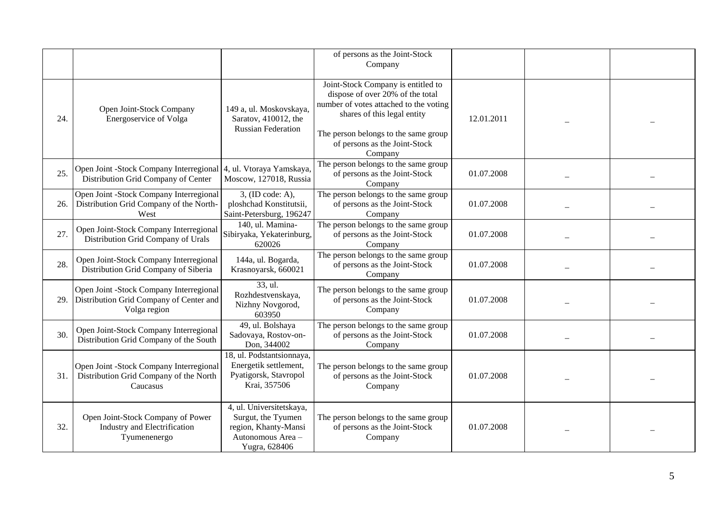|     |                                                                                                    |                                                                                                              | of persons as the Joint-Stock<br>Company                                                                                                                                                                                            |            |  |
|-----|----------------------------------------------------------------------------------------------------|--------------------------------------------------------------------------------------------------------------|-------------------------------------------------------------------------------------------------------------------------------------------------------------------------------------------------------------------------------------|------------|--|
| 24. | Open Joint-Stock Company<br>Energoservice of Volga                                                 | 149 a, ul. Moskovskaya,<br>Saratov, 410012, the<br><b>Russian Federation</b>                                 | Joint-Stock Company is entitled to<br>dispose of over 20% of the total<br>number of votes attached to the voting<br>shares of this legal entity<br>The person belongs to the same group<br>of persons as the Joint-Stock<br>Company | 12.01.2011 |  |
| 25. | Open Joint -Stock Company Interregional<br>Distribution Grid Company of Center                     | 4, ul. Vtoraya Yamskaya,<br>Moscow, 127018, Russia                                                           | The person belongs to the same group<br>of persons as the Joint-Stock<br>Company                                                                                                                                                    | 01.07.2008 |  |
| 26. | Open Joint -Stock Company Interregional<br>Distribution Grid Company of the North-<br>West         | 3, (ID code: A),<br>ploshchad Konstitutsii,<br>Saint-Petersburg, 196247                                      | The person belongs to the same group<br>of persons as the Joint-Stock<br>Company                                                                                                                                                    | 01.07.2008 |  |
| 27. | Open Joint-Stock Company Interregional<br>Distribution Grid Company of Urals                       | 140, ul. Mamina-<br>Sibiryaka, Yekaterinburg,<br>620026                                                      | The person belongs to the same group<br>of persons as the Joint-Stock<br>Company                                                                                                                                                    | 01.07.2008 |  |
| 28. | Open Joint-Stock Company Interregional<br>Distribution Grid Company of Siberia                     | 144a, ul. Bogarda,<br>Krasnoyarsk, 660021                                                                    | The person belongs to the same group<br>of persons as the Joint-Stock<br>Company                                                                                                                                                    | 01.07.2008 |  |
| 29. | Open Joint -Stock Company Interregional<br>Distribution Grid Company of Center and<br>Volga region | 33, ul.<br>Rozhdestvenskaya,<br>Nizhny Novgorod,<br>603950                                                   | The person belongs to the same group<br>of persons as the Joint-Stock<br>Company                                                                                                                                                    | 01.07.2008 |  |
| 30. | Open Joint-Stock Company Interregional<br>Distribution Grid Company of the South                   | 49, ul. Bolshaya<br>Sadovaya, Rostov-on-<br>Don, 344002                                                      | The person belongs to the same group<br>of persons as the Joint-Stock<br>Company                                                                                                                                                    | 01.07.2008 |  |
| 31. | Open Joint -Stock Company Interregional<br>Distribution Grid Company of the North<br>Caucasus      | 18, ul. Podstantsionnaya,<br>Energetik settlement,<br>Pyatigorsk, Stavropol<br>Krai, 357506                  | The person belongs to the same group<br>of persons as the Joint-Stock<br>Company                                                                                                                                                    | 01.07.2008 |  |
| 32. | Open Joint-Stock Company of Power<br>Industry and Electrification<br>Tyumenenergo                  | 4, ul. Universitetskaya,<br>Surgut, the Tyumen<br>region, Khanty-Mansi<br>Autonomous Area -<br>Yugra, 628406 | The person belongs to the same group<br>of persons as the Joint-Stock<br>Company                                                                                                                                                    | 01.07.2008 |  |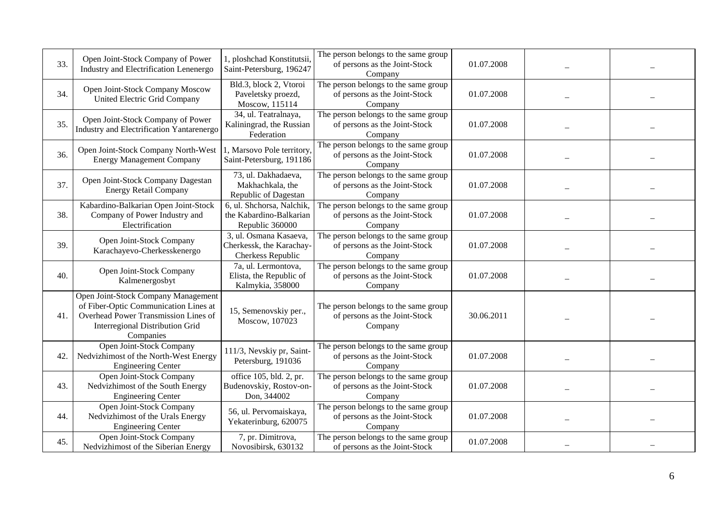| 33. | Open Joint-Stock Company of Power<br>Industry and Electrification Lenenergo                                                                                          | 1, ploshchad Konstitutsii,<br>Saint-Petersburg, 196247                  | The person belongs to the same group<br>of persons as the Joint-Stock<br>Company | 01.07.2008 |  |
|-----|----------------------------------------------------------------------------------------------------------------------------------------------------------------------|-------------------------------------------------------------------------|----------------------------------------------------------------------------------|------------|--|
| 34. | Open Joint-Stock Company Moscow<br>United Electric Grid Company                                                                                                      | Bld.3, block 2, Vtoroi<br>Paveletsky proezd,<br>Moscow, 115114          | The person belongs to the same group<br>of persons as the Joint-Stock<br>Company | 01.07.2008 |  |
| 35. | Open Joint-Stock Company of Power<br>Industry and Electrification Yantarenergo                                                                                       | 34, ul. Teatralnaya,<br>Kaliningrad, the Russian<br>Federation          | The person belongs to the same group<br>of persons as the Joint-Stock<br>Company | 01.07.2008 |  |
| 36. | Open Joint-Stock Company North-West<br><b>Energy Management Company</b>                                                                                              | 1, Marsovo Pole territory.<br>Saint-Petersburg, 191186                  | The person belongs to the same group<br>of persons as the Joint-Stock<br>Company | 01.07.2008 |  |
| 37. | Open Joint-Stock Company Dagestan<br><b>Energy Retail Company</b>                                                                                                    | 73, ul. Dakhadaeva,<br>Makhachkala, the<br>Republic of Dagestan         | The person belongs to the same group<br>of persons as the Joint-Stock<br>Company | 01.07.2008 |  |
| 38. | Kabardino-Balkarian Open Joint-Stock<br>Company of Power Industry and<br>Electrification                                                                             | 6, ul. Shchorsa, Nalchik,<br>the Kabardino-Balkarian<br>Republic 360000 | The person belongs to the same group<br>of persons as the Joint-Stock<br>Company | 01.07.2008 |  |
| 39. | Open Joint-Stock Company<br>Karachayevo-Cherkesskenergo                                                                                                              | 3, ul. Osmana Kasaeva,<br>Cherkessk, the Karachay-<br>Cherkess Republic | The person belongs to the same group<br>of persons as the Joint-Stock<br>Company | 01.07.2008 |  |
| 40. | Open Joint-Stock Company<br>Kalmenergosbyt                                                                                                                           | 7a, ul. Lermontova,<br>Elista, the Republic of<br>Kalmykia, 358000      | The person belongs to the same group<br>of persons as the Joint-Stock<br>Company | 01.07.2008 |  |
| 41. | Open Joint-Stock Company Management<br>of Fiber-Optic Communication Lines at<br>Overhead Power Transmission Lines of<br>Interregional Distribution Grid<br>Companies | 15, Semenovskiy per.,<br>Moscow, 107023                                 | The person belongs to the same group<br>of persons as the Joint-Stock<br>Company | 30.06.2011 |  |
| 42. | Open Joint-Stock Company<br>Nedvizhimost of the North-West Energy<br><b>Engineering Center</b>                                                                       | 111/3, Nevskiy pr, Saint-<br>Petersburg, 191036                         | The person belongs to the same group<br>of persons as the Joint-Stock<br>Company | 01.07.2008 |  |
| 43. | Open Joint-Stock Company<br>Nedvizhimost of the South Energy<br><b>Engineering Center</b>                                                                            | office 105, bld. 2, pr.<br>Budenovskiy, Rostov-on-<br>Don, 344002       | The person belongs to the same group<br>of persons as the Joint-Stock<br>Company | 01.07.2008 |  |
| 44. | Open Joint-Stock Company<br>Nedvizhimost of the Urals Energy<br><b>Engineering Center</b>                                                                            | 56, ul. Pervomaiskaya,<br>Yekaterinburg, 620075                         | The person belongs to the same group<br>of persons as the Joint-Stock<br>Company | 01.07.2008 |  |
| 45. | Open Joint-Stock Company<br>Nedvizhimost of the Siberian Energy                                                                                                      | 7, pr. Dimitrova,<br>Novosibirsk, 630132                                | The person belongs to the same group<br>of persons as the Joint-Stock            | 01.07.2008 |  |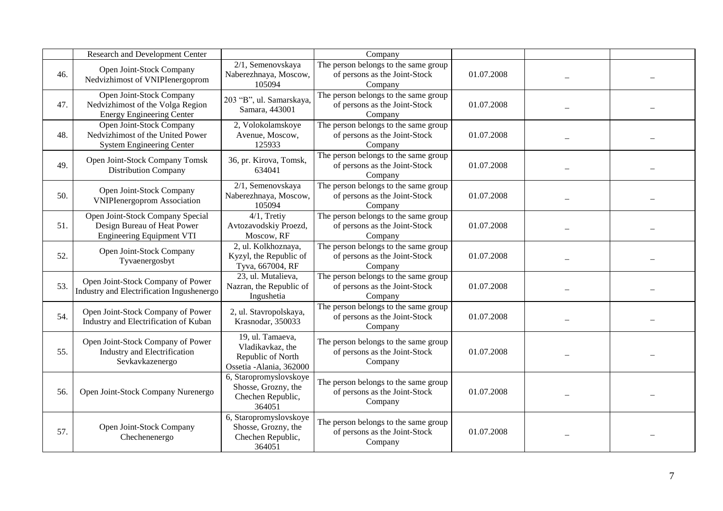|     | Research and Development Center                                                                         |                                                                                       | Company                                                                          |            |  |
|-----|---------------------------------------------------------------------------------------------------------|---------------------------------------------------------------------------------------|----------------------------------------------------------------------------------|------------|--|
| 46. | Open Joint-Stock Company<br>Nedvizhimost of VNIPIenergoprom                                             | 2/1, Semenovskaya<br>Naberezhnaya, Moscow,<br>105094                                  | The person belongs to the same group<br>of persons as the Joint-Stock<br>Company | 01.07.2008 |  |
| 47. | Open Joint-Stock Company<br>Nedvizhimost of the Volga Region<br><b>Energy Engineering Center</b>        | 203 "B", ul. Samarskaya,<br>Samara, 443001                                            | The person belongs to the same group<br>of persons as the Joint-Stock<br>Company | 01.07.2008 |  |
| 48. | <b>Open Joint-Stock Company</b><br>Nedvizhimost of the United Power<br><b>System Engineering Center</b> | 2, Volokolamskoye<br>Avenue, Moscow,<br>125933                                        | The person belongs to the same group<br>of persons as the Joint-Stock<br>Company | 01.07.2008 |  |
| 49. | Open Joint-Stock Company Tomsk<br><b>Distribution Company</b>                                           | 36, pr. Kirova, Tomsk,<br>634041                                                      | The person belongs to the same group<br>of persons as the Joint-Stock<br>Company | 01.07.2008 |  |
| 50. | Open Joint-Stock Company<br><b>VNIPIenergoprom Association</b>                                          | 2/1, Semenovskaya<br>Naberezhnaya, Moscow,<br>105094                                  | The person belongs to the same group<br>of persons as the Joint-Stock<br>Company | 01.07.2008 |  |
| 51. | Open Joint-Stock Company Special<br>Design Bureau of Heat Power<br><b>Engineering Equipment VTI</b>     | $4/1$ , Tretiy<br>Avtozavodskiy Proezd,<br>Moscow, RF                                 | The person belongs to the same group<br>of persons as the Joint-Stock<br>Company | 01.07.2008 |  |
| 52. | Open Joint-Stock Company<br>Tyvaenergosbyt                                                              | 2, ul. Kolkhoznaya,<br>Kyzyl, the Republic of<br>Tyva, 667004, RF                     | The person belongs to the same group<br>of persons as the Joint-Stock<br>Company | 01.07.2008 |  |
| 53. | Open Joint-Stock Company of Power<br>Industry and Electrification Ingushenergo                          | 23, ul. Mutalieva,<br>Nazran, the Republic of<br>Ingushetia                           | The person belongs to the same group<br>of persons as the Joint-Stock<br>Company | 01.07.2008 |  |
| 54. | Open Joint-Stock Company of Power<br>Industry and Electrification of Kuban                              | 2, ul. Stavropolskaya,<br>Krasnodar, 350033                                           | The person belongs to the same group<br>of persons as the Joint-Stock<br>Company | 01.07.2008 |  |
| 55. | Open Joint-Stock Company of Power<br>Industry and Electrification<br>Sevkavkazenergo                    | 19, ul. Tamaeva,<br>Vladikavkaz, the<br>Republic of North<br>Ossetia - Alania, 362000 | The person belongs to the same group<br>of persons as the Joint-Stock<br>Company | 01.07.2008 |  |
| 56. | Open Joint-Stock Company Nurenergo                                                                      | 6, Staropromyslovskoye<br>Shosse, Grozny, the<br>Chechen Republic,<br>364051          | The person belongs to the same group<br>of persons as the Joint-Stock<br>Company | 01.07.2008 |  |
| 57. | Open Joint-Stock Company<br>Chechenenergo                                                               | 6, Staropromyslovskoye<br>Shosse, Grozny, the<br>Chechen Republic,<br>364051          | The person belongs to the same group<br>of persons as the Joint-Stock<br>Company | 01.07.2008 |  |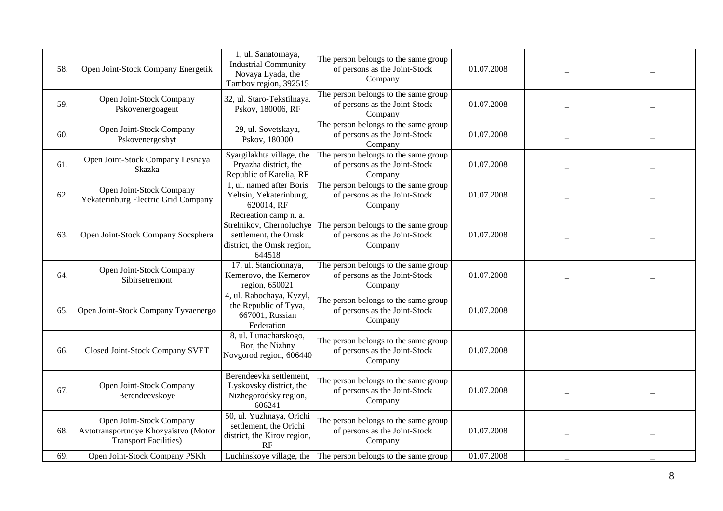| 58. | Open Joint-Stock Company Energetik                                                               | 1, ul. Sanatornaya,<br><b>Industrial Community</b><br>Novaya Lyada, the<br>Tambov region, 392515                  | The person belongs to the same group<br>of persons as the Joint-Stock<br>Company | 01.07.2008 |  |
|-----|--------------------------------------------------------------------------------------------------|-------------------------------------------------------------------------------------------------------------------|----------------------------------------------------------------------------------|------------|--|
| 59. | Open Joint-Stock Company<br>Pskovenergoagent                                                     | 32, ul. Staro-Tekstilnaya.<br>Pskov, 180006, RF                                                                   | The person belongs to the same group<br>of persons as the Joint-Stock<br>Company | 01.07.2008 |  |
| 60. | Open Joint-Stock Company<br>Pskovenergosbyt                                                      | 29, ul. Sovetskaya,<br>Pskov, 180000                                                                              | The person belongs to the same group<br>of persons as the Joint-Stock<br>Company | 01.07.2008 |  |
| 61. | Open Joint-Stock Company Lesnaya<br>Skazka                                                       | Syargilakhta village, the<br>Pryazha district, the<br>Republic of Karelia, RF                                     | The person belongs to the same group<br>of persons as the Joint-Stock<br>Company | 01.07.2008 |  |
| 62. | Open Joint-Stock Company<br>Yekaterinburg Electric Grid Company                                  | 1, ul. named after Boris<br>Yeltsin, Yekaterinburg,<br>620014, RF                                                 | The person belongs to the same group<br>of persons as the Joint-Stock<br>Company | 01.07.2008 |  |
| 63. | Open Joint-Stock Company Socsphera                                                               | Recreation camp n. a.<br>Strelnikov, Chernoluchye<br>settlement, the Omsk<br>district, the Omsk region,<br>644518 | The person belongs to the same group<br>of persons as the Joint-Stock<br>Company | 01.07.2008 |  |
| 64. | Open Joint-Stock Company<br>Sibirsetremont                                                       | 17, ul. Stancionnaya,<br>Kemerovo, the Kemerov<br>region, 650021                                                  | The person belongs to the same group<br>of persons as the Joint-Stock<br>Company | 01.07.2008 |  |
| 65. | Open Joint-Stock Company Tyvaenergo                                                              | 4, ul. Rabochaya, Kyzyl,<br>the Republic of Tyva,<br>667001, Russian<br>Federation                                | The person belongs to the same group<br>of persons as the Joint-Stock<br>Company | 01.07.2008 |  |
| 66. | Closed Joint-Stock Company SVET                                                                  | 8, ul. Lunacharskogo,<br>Bor, the Nizhny<br>Novgorod region, 606440                                               | The person belongs to the same group<br>of persons as the Joint-Stock<br>Company | 01.07.2008 |  |
| 67. | Open Joint-Stock Company<br>Berendeevskoye                                                       | Berendeevka settlement,<br>Lyskovsky district, the<br>Nizhegorodsky region,<br>606241                             | The person belongs to the same group<br>of persons as the Joint-Stock<br>Company | 01.07.2008 |  |
| 68. | Open Joint-Stock Company<br>Avtotransportnoye Khozyaistvo (Motor<br><b>Transport Facilities)</b> | 50, ul. Yuzhnaya, Orichi<br>settlement, the Orichi<br>district, the Kirov region,<br>RF                           | The person belongs to the same group<br>of persons as the Joint-Stock<br>Company | 01.07.2008 |  |
| 69. | Open Joint-Stock Company PSKh                                                                    |                                                                                                                   | Luchinskoye village, the The person belongs to the same group                    | 01.07.2008 |  |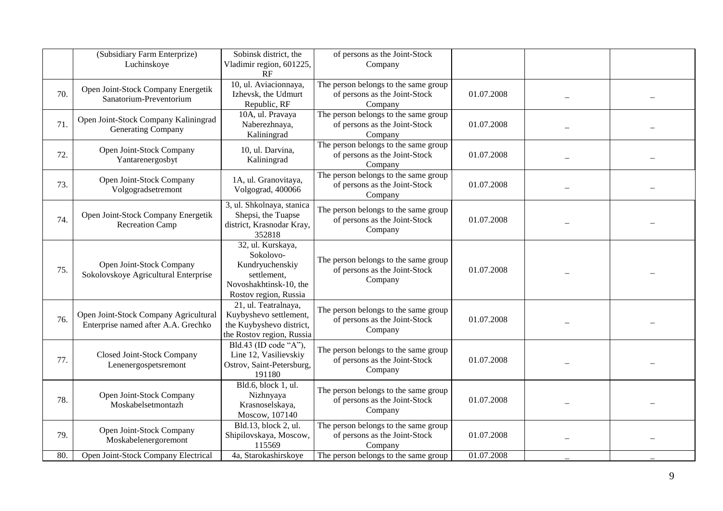|     | (Subsidiary Farm Enterprize)<br>Luchinskoye                                  | Sobinsk district, the<br>Vladimir region, 601225,<br>RF                                                             | of persons as the Joint-Stock<br>Company                                         |            |  |
|-----|------------------------------------------------------------------------------|---------------------------------------------------------------------------------------------------------------------|----------------------------------------------------------------------------------|------------|--|
| 70. | Open Joint-Stock Company Energetik<br>Sanatorium-Preventorium                | 10, ul. Aviacionnaya,<br>Izhevsk, the Udmurt<br>Republic, RF                                                        | The person belongs to the same group<br>of persons as the Joint-Stock<br>Company | 01.07.2008 |  |
| 71. | Open Joint-Stock Company Kaliningrad<br>Generating Company                   | 10A, ul. Pravaya<br>Naberezhnaya,<br>Kaliningrad                                                                    | The person belongs to the same group<br>of persons as the Joint-Stock<br>Company | 01.07.2008 |  |
| 72. | Open Joint-Stock Company<br>Yantarenergosbyt                                 | 10, ul. Darvina,<br>Kaliningrad                                                                                     | The person belongs to the same group<br>of persons as the Joint-Stock<br>Company | 01.07.2008 |  |
| 73. | Open Joint-Stock Company<br>Volgogradsetremont                               | 1A, ul. Granovitaya,<br>Volgograd, 400066                                                                           | The person belongs to the same group<br>of persons as the Joint-Stock<br>Company | 01.07.2008 |  |
| 74. | Open Joint-Stock Company Energetik<br><b>Recreation Camp</b>                 | 3, ul. Shkolnaya, stanica<br>Shepsi, the Tuapse<br>district, Krasnodar Kray,<br>352818                              | The person belongs to the same group<br>of persons as the Joint-Stock<br>Company | 01.07.2008 |  |
| 75. | Open Joint-Stock Company<br>Sokolovskoye Agricultural Enterprise             | 32, ul. Kurskaya,<br>Sokolovo-<br>Kundryuchenskiy<br>settlement,<br>Novoshakhtinsk-10, the<br>Rostov region, Russia | The person belongs to the same group<br>of persons as the Joint-Stock<br>Company | 01.07.2008 |  |
| 76. | Open Joint-Stock Company Agricultural<br>Enterprise named after A.A. Grechko | 21, ul. Teatralnaya,<br>Kuybyshevo settlement,<br>the Kuybyshevo district,<br>the Rostov region, Russia             | The person belongs to the same group<br>of persons as the Joint-Stock<br>Company | 01.07.2008 |  |
| 77. | Closed Joint-Stock Company<br>Lenenergospetsremont                           | Bld.43 (ID code "A"),<br>Line 12, Vasilievskiy<br>Ostrov, Saint-Petersburg,<br>191180                               | The person belongs to the same group<br>of persons as the Joint-Stock<br>Company | 01.07.2008 |  |
| 78. | Open Joint-Stock Company<br>Moskabelsetmontazh                               | Bld.6, block 1, ul.<br>Nizhnyaya<br>Krasnoselskaya,<br>Moscow, 107140                                               | The person belongs to the same group<br>of persons as the Joint-Stock<br>Company | 01.07.2008 |  |
| 79. | Open Joint-Stock Company<br>Moskabelenergoremont                             | Bld.13, block 2, ul.<br>Shipilovskaya, Moscow,<br>115569                                                            | The person belongs to the same group<br>of persons as the Joint-Stock<br>Company | 01.07.2008 |  |
| 80. | Open Joint-Stock Company Electrical                                          | 4a, Starokashirskove                                                                                                | The person belongs to the same group                                             | 01.07.2008 |  |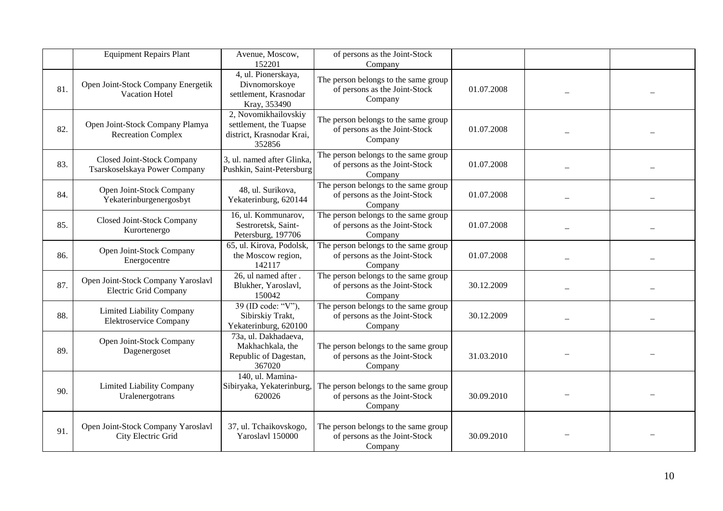|     | <b>Equipment Repairs Plant</b>                                     | Avenue, Moscow,<br>152201                                                             | of persons as the Joint-Stock<br>Company                                         |            |  |
|-----|--------------------------------------------------------------------|---------------------------------------------------------------------------------------|----------------------------------------------------------------------------------|------------|--|
| 81. | Open Joint-Stock Company Energetik<br>Vacation Hotel               | 4, ul. Pionerskaya,<br>Divnomorskoye<br>settlement, Krasnodar<br>Kray, 353490         | The person belongs to the same group<br>of persons as the Joint-Stock<br>Company | 01.07.2008 |  |
| 82. | Open Joint-Stock Company Plamya<br><b>Recreation Complex</b>       | 2, Novomikhailovskiy<br>settlement, the Tuapse<br>district, Krasnodar Krai,<br>352856 | The person belongs to the same group<br>of persons as the Joint-Stock<br>Company | 01.07.2008 |  |
| 83. | Closed Joint-Stock Company<br>Tsarskoselskaya Power Company        | 3, ul. named after Glinka,<br>Pushkin, Saint-Petersburg                               | The person belongs to the same group<br>of persons as the Joint-Stock<br>Company | 01.07.2008 |  |
| 84. | Open Joint-Stock Company<br>Yekaterinburgenergosbyt                | 48, ul. Surikova,<br>Yekaterinburg, 620144                                            | The person belongs to the same group<br>of persons as the Joint-Stock<br>Company | 01.07.2008 |  |
| 85. | <b>Closed Joint-Stock Company</b><br>Kurortenergo                  | 16, ul. Kommunarov,<br>Sestroretsk, Saint-<br>Petersburg, 197706                      | The person belongs to the same group<br>of persons as the Joint-Stock<br>Company | 01.07.2008 |  |
| 86. | Open Joint-Stock Company<br>Energocentre                           | 65, ul. Kirova, Podolsk,<br>the Moscow region,<br>142117                              | The person belongs to the same group<br>of persons as the Joint-Stock<br>Company | 01.07.2008 |  |
| 87. | Open Joint-Stock Company Yaroslavl<br><b>Electric Grid Company</b> | 26, ul named after.<br>Blukher, Yaroslavl,<br>150042                                  | The person belongs to the same group<br>of persons as the Joint-Stock<br>Company | 30.12.2009 |  |
| 88. | <b>Limited Liability Company</b><br>Elektroservice Company         | 39 (ID code: "V"),<br>Sibirskiy Trakt,<br>Yekaterinburg, 620100                       | The person belongs to the same group<br>of persons as the Joint-Stock<br>Company | 30.12.2009 |  |
| 89. | Open Joint-Stock Company<br>Dagenergoset                           | 73a, ul. Dakhadaeva,<br>Makhachkala, the<br>Republic of Dagestan,<br>367020           | The person belongs to the same group<br>of persons as the Joint-Stock<br>Company | 31.03.2010 |  |
| 90. | Limited Liability Company<br>Uralenergotrans                       | 140, ul. Mamina-<br>Sibiryaka, Yekaterinburg,<br>620026                               | The person belongs to the same group<br>of persons as the Joint-Stock<br>Company | 30.09.2010 |  |
| 91. | Open Joint-Stock Company Yaroslavl<br>City Electric Grid           | 37, ul. Tchaikovskogo,<br>Yaroslavl 150000                                            | The person belongs to the same group<br>of persons as the Joint-Stock<br>Company | 30.09.2010 |  |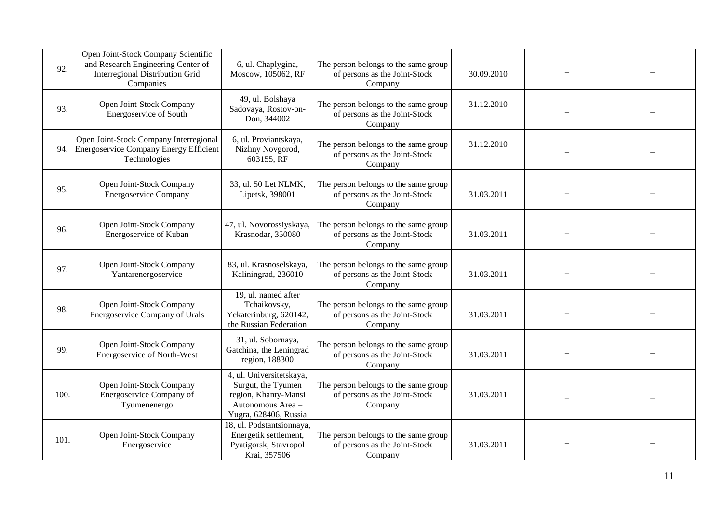| 92.  | Open Joint-Stock Company Scientific<br>and Research Engineering Center of<br>Interregional Distribution Grid<br>Companies | 6, ul. Chaplygina,<br>Moscow, 105062, RF                                                                             | The person belongs to the same group<br>of persons as the Joint-Stock<br>Company | 30.09.2010 |  |
|------|---------------------------------------------------------------------------------------------------------------------------|----------------------------------------------------------------------------------------------------------------------|----------------------------------------------------------------------------------|------------|--|
| 93.  | Open Joint-Stock Company<br>Energoservice of South                                                                        | 49, ul. Bolshaya<br>Sadovaya, Rostov-on-<br>Don, 344002                                                              | The person belongs to the same group<br>of persons as the Joint-Stock<br>Company | 31.12.2010 |  |
| 94.  | Open Joint-Stock Company Interregional<br><b>Energoservice Company Energy Efficient</b><br>Technologies                   | 6, ul. Proviantskaya,<br>Nizhny Novgorod,<br>603155, RF                                                              | The person belongs to the same group<br>of persons as the Joint-Stock<br>Company | 31.12.2010 |  |
| 95.  | Open Joint-Stock Company<br><b>Energoservice Company</b>                                                                  | 33, ul. 50 Let NLMK,<br>Lipetsk, 398001                                                                              | The person belongs to the same group<br>of persons as the Joint-Stock<br>Company | 31.03.2011 |  |
| 96.  | Open Joint-Stock Company<br>Energoservice of Kuban                                                                        | 47, ul. Novorossiyskaya,<br>Krasnodar, 350080                                                                        | The person belongs to the same group<br>of persons as the Joint-Stock<br>Company | 31.03.2011 |  |
| 97.  | Open Joint-Stock Company<br>Yantarenergoservice                                                                           | 83, ul. Krasnoselskaya,<br>Kaliningrad, 236010                                                                       | The person belongs to the same group<br>of persons as the Joint-Stock<br>Company | 31.03.2011 |  |
| 98.  | Open Joint-Stock Company<br><b>Energoservice Company of Urals</b>                                                         | 19, ul. named after<br>Tchaikovsky,<br>Yekaterinburg, 620142,<br>the Russian Federation                              | The person belongs to the same group<br>of persons as the Joint-Stock<br>Company | 31.03.2011 |  |
| 99.  | Open Joint-Stock Company<br>Energoservice of North-West                                                                   | 31, ul. Sobornaya,<br>Gatchina, the Leningrad<br>region, 188300                                                      | The person belongs to the same group<br>of persons as the Joint-Stock<br>Company | 31.03.2011 |  |
| 100. | Open Joint-Stock Company<br>Energoservice Company of<br>Tyumenenergo                                                      | 4, ul. Universitetskaya,<br>Surgut, the Tyumen<br>region, Khanty-Mansi<br>Autonomous Area -<br>Yugra, 628406, Russia | The person belongs to the same group<br>of persons as the Joint-Stock<br>Company | 31.03.2011 |  |
| 101  | Open Joint-Stock Company<br>Energoservice                                                                                 | 18, ul. Podstantsionnaya,<br>Energetik settlement,<br>Pyatigorsk, Stavropol<br>Krai, 357506                          | The person belongs to the same group<br>of persons as the Joint-Stock<br>Company | 31.03.2011 |  |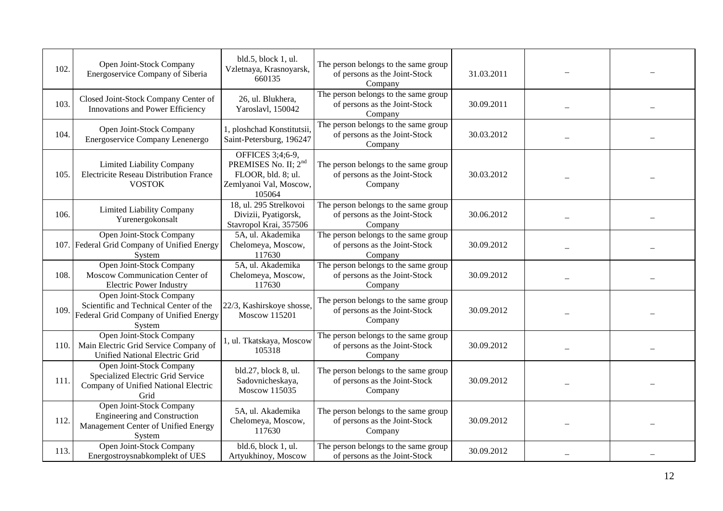| 102. | Open Joint-Stock Company<br>Energoservice Company of Siberia                                                           | bld.5, block 1, ul.<br>Vzletnaya, Krasnoyarsk,<br>660135                                                       | The person belongs to the same group<br>of persons as the Joint-Stock<br>Company | 31.03.2011 |  |
|------|------------------------------------------------------------------------------------------------------------------------|----------------------------------------------------------------------------------------------------------------|----------------------------------------------------------------------------------|------------|--|
| 103. | Closed Joint-Stock Company Center of<br>Innovations and Power Efficiency                                               | 26, ul. Blukhera,<br>Yaroslavl, 150042                                                                         | The person belongs to the same group<br>of persons as the Joint-Stock<br>Company | 30.09.2011 |  |
| 104. | Open Joint-Stock Company<br>Energoservice Company Lenenergo                                                            | 1, ploshchad Konstitutsii,<br>Saint-Petersburg, 196247                                                         | The person belongs to the same group<br>of persons as the Joint-Stock<br>Company | 30.03.2012 |  |
| 105. | Limited Liability Company<br><b>Electricite Reseau Distribution France</b><br><b>VOSTOK</b>                            | OFFICES 3;4;6-9,<br>PREMISES No. II; 2 <sup>nd</sup><br>FLOOR, bld. 8; ul.<br>Zemlyanoi Val, Moscow,<br>105064 | The person belongs to the same group<br>of persons as the Joint-Stock<br>Company | 30.03.2012 |  |
| 106. | Limited Liability Company<br>Yurenergokonsalt                                                                          | 18, ul. 295 Strelkovoi<br>Divizii, Pyatigorsk,<br>Stavropol Krai, 357506                                       | The person belongs to the same group<br>of persons as the Joint-Stock<br>Company | 30.06.2012 |  |
|      | Open Joint-Stock Company<br>107. Federal Grid Company of Unified Energy<br>System                                      | 5A, ul. Akademika<br>Chelomeya, Moscow,<br>117630                                                              | The person belongs to the same group<br>of persons as the Joint-Stock<br>Company | 30.09.2012 |  |
| 108. | Open Joint-Stock Company<br>Moscow Communication Center of<br><b>Electric Power Industry</b>                           | 5A, ul. Akademika<br>Chelomeya, Moscow,<br>117630                                                              | The person belongs to the same group<br>of persons as the Joint-Stock<br>Company | 30.09.2012 |  |
| 109. | Open Joint-Stock Company<br>Scientific and Technical Center of the<br>Federal Grid Company of Unified Energy<br>System | 22/3, Kashirskoye shosse,<br>Moscow 115201                                                                     | The person belongs to the same group<br>of persons as the Joint-Stock<br>Company | 30.09.2012 |  |
| 110. | Open Joint-Stock Company<br>Main Electric Grid Service Company of<br>Unified National Electric Grid                    | 1, ul. Tkatskaya, Moscow<br>105318                                                                             | The person belongs to the same group<br>of persons as the Joint-Stock<br>Company | 30.09.2012 |  |
| 111. | Open Joint-Stock Company<br>Specialized Electric Grid Service<br>Company of Unified National Electric<br>Grid          | bld.27, block 8, ul.<br>Sadovnicheskaya,<br>Moscow 115035                                                      | The person belongs to the same group<br>of persons as the Joint-Stock<br>Company | 30.09.2012 |  |
| 112. | Open Joint-Stock Company<br><b>Engineering and Construction</b><br>Management Center of Unified Energy<br>System       | 5A, ul. Akademika<br>Chelomeya, Moscow,<br>117630                                                              | The person belongs to the same group<br>of persons as the Joint-Stock<br>Company | 30.09.2012 |  |
| 113. | Open Joint-Stock Company<br>Energostroysnabkomplekt of UES                                                             | bld.6, block 1, ul.<br>Artyukhinoy, Moscow                                                                     | The person belongs to the same group<br>of persons as the Joint-Stock            | 30.09.2012 |  |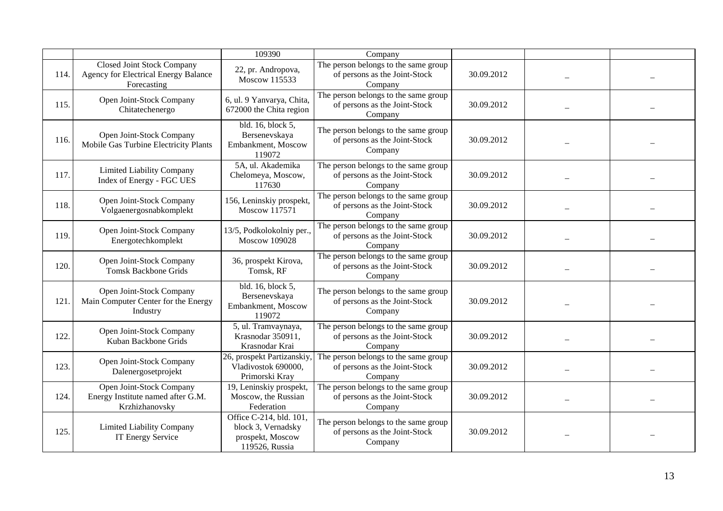|      |                                                                                   | 109390                                                                              | Company                                                                          |            |  |
|------|-----------------------------------------------------------------------------------|-------------------------------------------------------------------------------------|----------------------------------------------------------------------------------|------------|--|
| 114. | Closed Joint Stock Company<br>Agency for Electrical Energy Balance<br>Forecasting | 22, pr. Andropova,<br>Moscow 115533                                                 | The person belongs to the same group<br>of persons as the Joint-Stock<br>Company | 30.09.2012 |  |
| 115. | Open Joint-Stock Company<br>Chitatechenergo                                       | 6, ul. 9 Yanvarya, Chita,<br>672000 the Chita region                                | The person belongs to the same group<br>of persons as the Joint-Stock<br>Company | 30.09.2012 |  |
| 116. | Open Joint-Stock Company<br>Mobile Gas Turbine Electricity Plants                 | bld. 16, block 5,<br>Bersenevskaya<br>Embankment, Moscow<br>119072                  | The person belongs to the same group<br>of persons as the Joint-Stock<br>Company | 30.09.2012 |  |
| 117. | Limited Liability Company<br>Index of Energy - FGC UES                            | 5A, ul. Akademika<br>Chelomeya, Moscow,<br>117630                                   | The person belongs to the same group<br>of persons as the Joint-Stock<br>Company | 30.09.2012 |  |
| 118. | Open Joint-Stock Company<br>Volgaenergosnabkomplekt                               | 156, Leninskiy prospekt,<br>Moscow 117571                                           | The person belongs to the same group<br>of persons as the Joint-Stock<br>Company | 30.09.2012 |  |
| 119. | Open Joint-Stock Company<br>Energotechkomplekt                                    | 13/5, Podkolokolniy per.,<br><b>Moscow 109028</b>                                   | The person belongs to the same group<br>of persons as the Joint-Stock<br>Company | 30.09.2012 |  |
| 120. | Open Joint-Stock Company<br><b>Tomsk Backbone Grids</b>                           | 36, prospekt Kirova,<br>Tomsk, RF                                                   | The person belongs to the same group<br>of persons as the Joint-Stock<br>Company | 30.09.2012 |  |
| 121. | Open Joint-Stock Company<br>Main Computer Center for the Energy<br>Industry       | $\overline{b}$ ld. 16, block 5,<br>Bersenevskaya<br>Embankment, Moscow<br>119072    | The person belongs to the same group<br>of persons as the Joint-Stock<br>Company | 30.09.2012 |  |
| 122. | Open Joint-Stock Company<br>Kuban Backbone Grids                                  | 5, ul. Tramvaynaya,<br>Krasnodar 350911,<br>Krasnodar Krai                          | The person belongs to the same group<br>of persons as the Joint-Stock<br>Company | 30.09.2012 |  |
| 123. | Open Joint-Stock Company<br>Dalenergosetprojekt                                   | 26, prospekt Partizanskiy,<br>Vladivostok 690000,<br>Primorski Kray                 | The person belongs to the same group<br>of persons as the Joint-Stock<br>Company | 30.09.2012 |  |
| 124. | Open Joint-Stock Company<br>Energy Institute named after G.M.<br>Krzhizhanovsky   | 19, Leninskiy prospekt,<br>Moscow, the Russian<br>Federation                        | The person belongs to the same group<br>of persons as the Joint-Stock<br>Company | 30.09.2012 |  |
| 125  | Limited Liability Company<br>IT Energy Service                                    | Office C-214, bld. 101,<br>block 3, Vernadsky<br>prospekt, Moscow<br>119526, Russia | The person belongs to the same group<br>of persons as the Joint-Stock<br>Company | 30.09.2012 |  |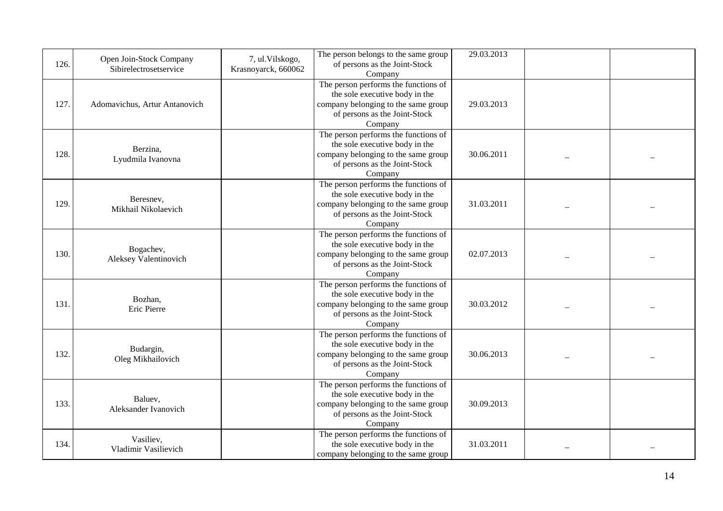| 126. | Open Join-Stock Company<br>Sibirelectrosetservice | 7, ul. Vilskogo,<br>Krasnoyarck, 660062 | The person belongs to the same group<br>of persons as the Joint-Stock<br>Company                                                                          | 29.03.2013 |  |
|------|---------------------------------------------------|-----------------------------------------|-----------------------------------------------------------------------------------------------------------------------------------------------------------|------------|--|
| 127. | Adomavichus, Artur Antanovich                     |                                         | The person performs the functions of<br>the sole executive body in the<br>company belonging to the same group<br>of persons as the Joint-Stock<br>Company | 29.03.2013 |  |
| 128. | Berzina,<br>Lyudmila Ivanovna                     |                                         | The person performs the functions of<br>the sole executive body in the<br>company belonging to the same group<br>of persons as the Joint-Stock<br>Company | 30.06.2011 |  |
| 129. | Beresney,<br>Mikhail Nikolaevich                  |                                         | The person performs the functions of<br>the sole executive body in the<br>company belonging to the same group<br>of persons as the Joint-Stock<br>Company | 31.03.2011 |  |
| 130. | Bogachev,<br>Aleksey Valentinovich                |                                         | The person performs the functions of<br>the sole executive body in the<br>company belonging to the same group<br>of persons as the Joint-Stock<br>Company | 02.07.2013 |  |
| 131. | Bozhan,<br>Eric Pierre                            |                                         | The person performs the functions of<br>the sole executive body in the<br>company belonging to the same group<br>of persons as the Joint-Stock<br>Company | 30.03.2012 |  |
| 132. | Budargin,<br>Oleg Mikhailovich                    |                                         | The person performs the functions of<br>the sole executive body in the<br>company belonging to the same group<br>of persons as the Joint-Stock<br>Company | 30.06.2013 |  |
| 133. | Baluev,<br>Aleksander Ivanovich                   |                                         | The person performs the functions of<br>the sole executive body in the<br>company belonging to the same group<br>of persons as the Joint-Stock<br>Company | 30.09.2013 |  |
| 134. | Vasiliev,<br>Vladimir Vasilievich                 |                                         | The person performs the functions of<br>the sole executive body in the<br>company belonging to the same group                                             | 31.03.2011 |  |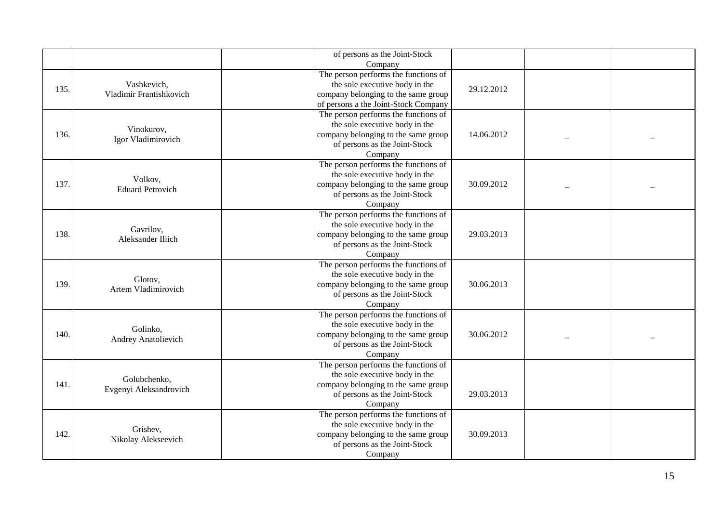|      |                                | of persons as the Joint-Stock        |            |  |
|------|--------------------------------|--------------------------------------|------------|--|
|      |                                | Company                              |            |  |
|      | Vashkevich,                    | The person performs the functions of |            |  |
| 135. | Vladimir Frantishkovich        | the sole executive body in the       | 29.12.2012 |  |
|      |                                | company belonging to the same group  |            |  |
|      |                                | of persons a the Joint-Stock Company |            |  |
|      |                                | The person performs the functions of |            |  |
|      | Vinokurov,                     | the sole executive body in the       |            |  |
| 136. | Igor Vladimirovich             | company belonging to the same group  | 14.06.2012 |  |
|      |                                | of persons as the Joint-Stock        |            |  |
|      |                                | Company                              |            |  |
|      |                                | The person performs the functions of |            |  |
|      | Volkov,                        | the sole executive body in the       |            |  |
| 137. | <b>Eduard Petrovich</b>        | company belonging to the same group  | 30.09.2012 |  |
|      |                                | of persons as the Joint-Stock        |            |  |
|      |                                | Company                              |            |  |
|      |                                | The person performs the functions of |            |  |
|      | Gavrilov,<br>Aleksander Iliich | the sole executive body in the       |            |  |
| 138. |                                | company belonging to the same group  | 29.03.2013 |  |
|      |                                | of persons as the Joint-Stock        |            |  |
|      |                                | Company                              |            |  |
|      |                                | The person performs the functions of |            |  |
|      | Glotov,                        | the sole executive body in the       |            |  |
| 139. | Artem Vladimirovich            | company belonging to the same group  | 30.06.2013 |  |
|      |                                | of persons as the Joint-Stock        |            |  |
|      |                                | Company                              |            |  |
|      |                                | The person performs the functions of |            |  |
|      | Golinko,                       | the sole executive body in the       |            |  |
| 140. | Andrey Anatolievich            | company belonging to the same group  | 30.06.2012 |  |
|      |                                | of persons as the Joint-Stock        |            |  |
|      |                                | Company                              |            |  |
|      |                                | The person performs the functions of |            |  |
|      | Golubchenko,                   | the sole executive body in the       |            |  |
| 141. | Evgenyi Aleksandrovich         | company belonging to the same group  |            |  |
|      |                                | of persons as the Joint-Stock        | 29.03.2013 |  |
|      |                                | Company                              |            |  |
|      |                                | The person performs the functions of |            |  |
|      | Grishev,                       | the sole executive body in the       |            |  |
| 142. | Nikolay Alekseevich            | company belonging to the same group  | 30.09.2013 |  |
|      |                                | of persons as the Joint-Stock        |            |  |
|      |                                | Company                              |            |  |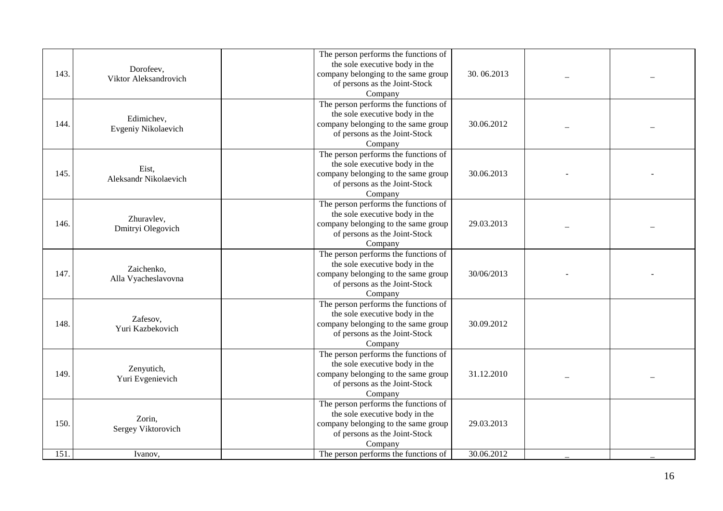| 143. | Dorofeev,<br>Viktor Aleksandrovich | The person performs the functions of<br>the sole executive body in the<br>company belonging to the same group<br>of persons as the Joint-Stock<br>Company | 30.06.2013 |  |
|------|------------------------------------|-----------------------------------------------------------------------------------------------------------------------------------------------------------|------------|--|
| 144. | Edimichev,<br>Evgeniy Nikolaevich  | The person performs the functions of<br>the sole executive body in the<br>company belonging to the same group<br>of persons as the Joint-Stock<br>Company | 30.06.2012 |  |
| 145. | Eist,<br>Aleksandr Nikolaevich     | The person performs the functions of<br>the sole executive body in the<br>company belonging to the same group<br>of persons as the Joint-Stock<br>Company | 30.06.2013 |  |
| 146. | Zhuravlev,<br>Dmitryi Olegovich    | The person performs the functions of<br>the sole executive body in the<br>company belonging to the same group<br>of persons as the Joint-Stock<br>Company | 29.03.2013 |  |
| 147. | Zaichenko,<br>Alla Vyacheslavovna  | The person performs the functions of<br>the sole executive body in the<br>company belonging to the same group<br>of persons as the Joint-Stock<br>Company | 30/06/2013 |  |
| 148. | Zafesov,<br>Yuri Kazbekovich       | The person performs the functions of<br>the sole executive body in the<br>company belonging to the same group<br>of persons as the Joint-Stock<br>Company | 30.09.2012 |  |
| 149. | Zenyutich,<br>Yuri Evgenievich     | The person performs the functions of<br>the sole executive body in the<br>company belonging to the same group<br>of persons as the Joint-Stock<br>Company | 31.12.2010 |  |
| 150. | Zorin,<br>Sergey Viktorovich       | The person performs the functions of<br>the sole executive body in the<br>company belonging to the same group<br>of persons as the Joint-Stock<br>Company | 29.03.2013 |  |
| 151. | Ivanov,                            | The person performs the functions of                                                                                                                      | 30.06.2012 |  |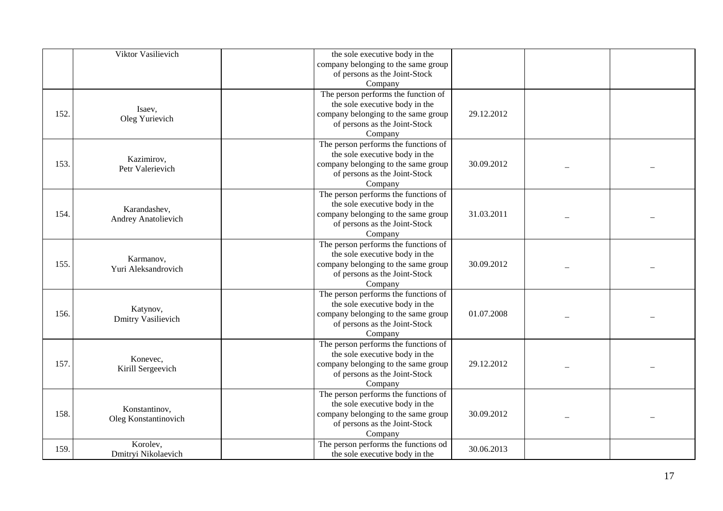|      | Viktor Vasilievich                    | the sole executive body in the       |            |  |
|------|---------------------------------------|--------------------------------------|------------|--|
|      |                                       | company belonging to the same group  |            |  |
|      |                                       | of persons as the Joint-Stock        |            |  |
|      |                                       | Company                              |            |  |
|      |                                       | The person performs the function of  |            |  |
|      |                                       | the sole executive body in the       |            |  |
| 152. | Isaev,                                | company belonging to the same group  | 29.12.2012 |  |
|      | Oleg Yurievich                        | of persons as the Joint-Stock        |            |  |
|      |                                       | Company                              |            |  |
|      |                                       | The person performs the functions of |            |  |
|      |                                       | the sole executive body in the       |            |  |
| 153. | Kazimirov,                            | company belonging to the same group  | 30.09.2012 |  |
|      | Petr Valerievich                      | of persons as the Joint-Stock        |            |  |
|      |                                       | Company                              |            |  |
|      |                                       | The person performs the functions of |            |  |
|      |                                       | the sole executive body in the       |            |  |
| 154. | Karandashev,                          | company belonging to the same group  | 31.03.2011 |  |
|      | <b>Andrey Anatolievich</b>            | of persons as the Joint-Stock        |            |  |
|      |                                       | Company                              |            |  |
|      |                                       | The person performs the functions of |            |  |
|      |                                       | the sole executive body in the       |            |  |
| 155. | Karmanov,                             | company belonging to the same group  | 30.09.2012 |  |
|      | Yuri Aleksandrovich                   | of persons as the Joint-Stock        |            |  |
|      |                                       | Company                              |            |  |
|      |                                       | The person performs the functions of |            |  |
|      |                                       | the sole executive body in the       |            |  |
| 156. | Katynov,<br><b>Dmitry Vasilievich</b> | company belonging to the same group  | 01.07.2008 |  |
|      |                                       | of persons as the Joint-Stock        |            |  |
|      |                                       | Company                              |            |  |
|      |                                       | The person performs the functions of |            |  |
|      | Konevec,                              | the sole executive body in the       |            |  |
| 157. |                                       | company belonging to the same group  | 29.12.2012 |  |
|      | Kirill Sergeevich                     | of persons as the Joint-Stock        |            |  |
|      |                                       | Company                              |            |  |
|      |                                       | The person performs the functions of |            |  |
|      | Konstantinov,                         | the sole executive body in the       |            |  |
| 158. | Oleg Konstantinovich                  | company belonging to the same group  | 30.09.2012 |  |
|      |                                       | of persons as the Joint-Stock        |            |  |
|      |                                       | Company                              |            |  |
| 159. | Korolev,                              | The person performs the functions od | 30.06.2013 |  |
|      | Dmitryi Nikolaevich                   | the sole executive body in the       |            |  |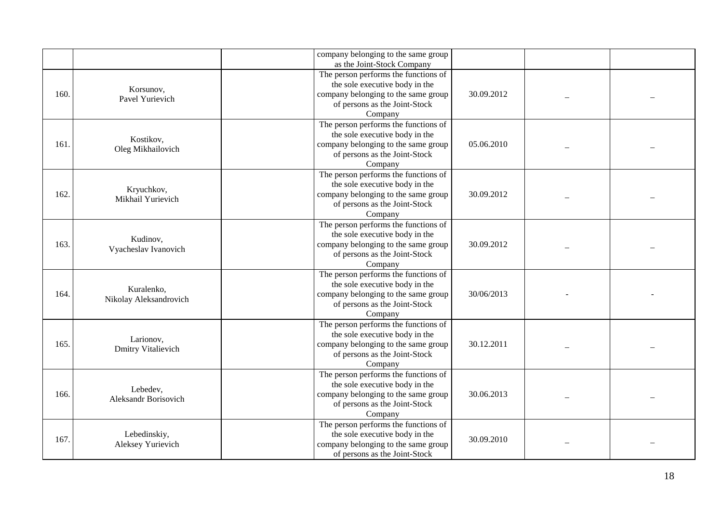|      |                                         | company belonging to the same group<br>as the Joint-Stock Company                                                                                         |            |  |
|------|-----------------------------------------|-----------------------------------------------------------------------------------------------------------------------------------------------------------|------------|--|
| 160. | Korsunov,<br>Pavel Yurievich            | The person performs the functions of<br>the sole executive body in the<br>company belonging to the same group<br>of persons as the Joint-Stock<br>Company | 30.09.2012 |  |
| 161. | Kostikov,<br>Oleg Mikhailovich          | The person performs the functions of<br>the sole executive body in the<br>company belonging to the same group<br>of persons as the Joint-Stock<br>Company | 05.06.2010 |  |
| 162. | Kryuchkov,<br>Mikhail Yurievich         | The person performs the functions of<br>the sole executive body in the<br>company belonging to the same group<br>of persons as the Joint-Stock<br>Company | 30.09.2012 |  |
| 163. | Kudinov,<br>Vyacheslav Ivanovich        | The person performs the functions of<br>the sole executive body in the<br>company belonging to the same group<br>of persons as the Joint-Stock<br>Company | 30.09.2012 |  |
| 164. | Kuralenko,<br>Nikolay Aleksandrovich    | The person performs the functions of<br>the sole executive body in the<br>company belonging to the same group<br>of persons as the Joint-Stock<br>Company | 30/06/2013 |  |
| 165. | Larionov,<br>Dmitry Vitalievich         | The person performs the functions of<br>the sole executive body in the<br>company belonging to the same group<br>of persons as the Joint-Stock<br>Company | 30.12.2011 |  |
| 166. | Lebedev,<br><b>Aleksandr Borisovich</b> | The person performs the functions of<br>the sole executive body in the<br>company belonging to the same group<br>of persons as the Joint-Stock<br>Company | 30.06.2013 |  |
| 167. | Lebedinskiy,<br>Aleksey Yurievich       | The person performs the functions of<br>the sole executive body in the<br>company belonging to the same group<br>of persons as the Joint-Stock            | 30.09.2010 |  |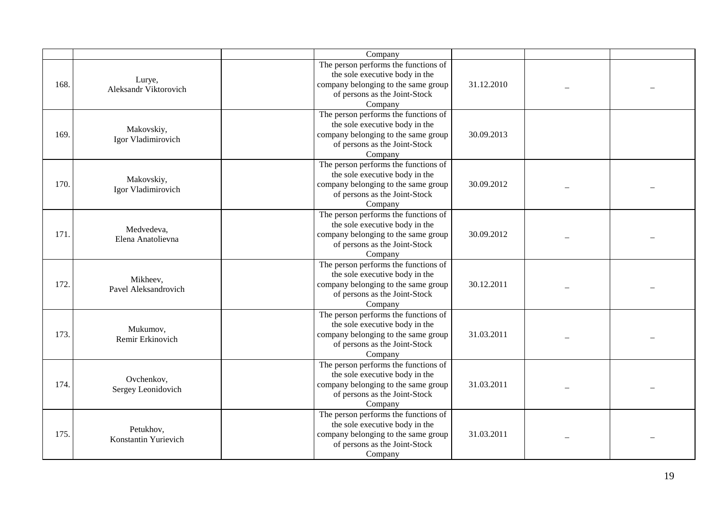|      |                                   | Company                                                                                                                                                   |            |  |
|------|-----------------------------------|-----------------------------------------------------------------------------------------------------------------------------------------------------------|------------|--|
| 168. | Lurye,<br>Aleksandr Viktorovich   | The person performs the functions of<br>the sole executive body in the<br>company belonging to the same group<br>of persons as the Joint-Stock<br>Company | 31.12.2010 |  |
| 169. | Makovskiy,<br>Igor Vladimirovich  | The person performs the functions of<br>the sole executive body in the<br>company belonging to the same group<br>of persons as the Joint-Stock<br>Company | 30.09.2013 |  |
| 170. | Makovskiy,<br>Igor Vladimirovich  | The person performs the functions of<br>the sole executive body in the<br>company belonging to the same group<br>of persons as the Joint-Stock<br>Company | 30.09.2012 |  |
| 171. | Medvedeva,<br>Elena Anatolievna   | The person performs the functions of<br>the sole executive body in the<br>company belonging to the same group<br>of persons as the Joint-Stock<br>Company | 30.09.2012 |  |
| 172. | Mikheev,<br>Pavel Aleksandrovich  | The person performs the functions of<br>the sole executive body in the<br>company belonging to the same group<br>of persons as the Joint-Stock<br>Company | 30.12.2011 |  |
| 173. | Mukumov,<br>Remir Erkinovich      | The person performs the functions of<br>the sole executive body in the<br>company belonging to the same group<br>of persons as the Joint-Stock<br>Company | 31.03.2011 |  |
| 174. | Ovchenkov,<br>Sergey Leonidovich  | The person performs the functions of<br>the sole executive body in the<br>company belonging to the same group<br>of persons as the Joint-Stock<br>Company | 31.03.2011 |  |
| 175. | Petukhov,<br>Konstantin Yurievich | The person performs the functions of<br>the sole executive body in the<br>company belonging to the same group<br>of persons as the Joint-Stock<br>Company | 31.03.2011 |  |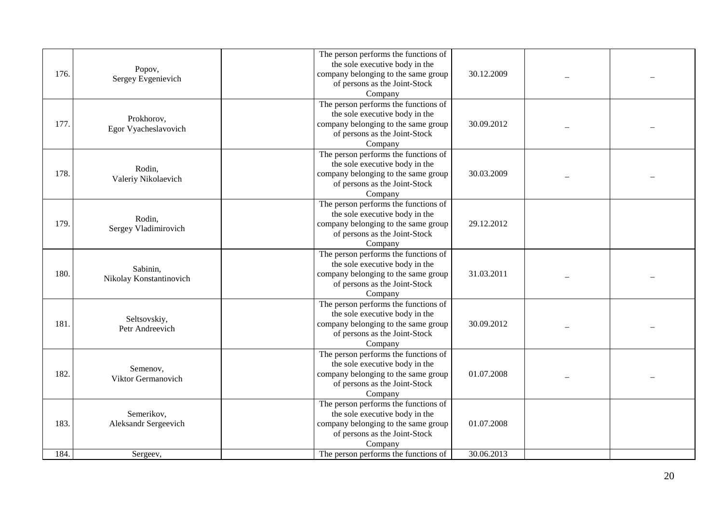| 176. | Popov,<br>Sergey Evgenievich        | The person performs the functions of<br>the sole executive body in the<br>company belonging to the same group<br>of persons as the Joint-Stock<br>Company | 30.12.2009 |  |
|------|-------------------------------------|-----------------------------------------------------------------------------------------------------------------------------------------------------------|------------|--|
| 177. | Prokhorov,<br>Egor Vyacheslavovich  | The person performs the functions of<br>the sole executive body in the<br>company belonging to the same group<br>of persons as the Joint-Stock<br>Company | 30.09.2012 |  |
| 178. | Rodin,<br>Valeriy Nikolaevich       | The person performs the functions of<br>the sole executive body in the<br>company belonging to the same group<br>of persons as the Joint-Stock<br>Company | 30.03.2009 |  |
| 179. | Rodin,<br>Sergey Vladimirovich      | The person performs the functions of<br>the sole executive body in the<br>company belonging to the same group<br>of persons as the Joint-Stock<br>Company | 29.12.2012 |  |
| 180. | Sabinin,<br>Nikolay Konstantinovich | The person performs the functions of<br>the sole executive body in the<br>company belonging to the same group<br>of persons as the Joint-Stock<br>Company | 31.03.2011 |  |
| 181. | Seltsovskiy,<br>Petr Andreevich     | The person performs the functions of<br>the sole executive body in the<br>company belonging to the same group<br>of persons as the Joint-Stock<br>Company | 30.09.2012 |  |
| 182. | Semenov,<br>Viktor Germanovich      | The person performs the functions of<br>the sole executive body in the<br>company belonging to the same group<br>of persons as the Joint-Stock<br>Company | 01.07.2008 |  |
| 183. | Semerikov,<br>Aleksandr Sergeevich  | The person performs the functions of<br>the sole executive body in the<br>company belonging to the same group<br>of persons as the Joint-Stock<br>Company | 01.07.2008 |  |
| 184. | Sergeev,                            | The person performs the functions of                                                                                                                      | 30.06.2013 |  |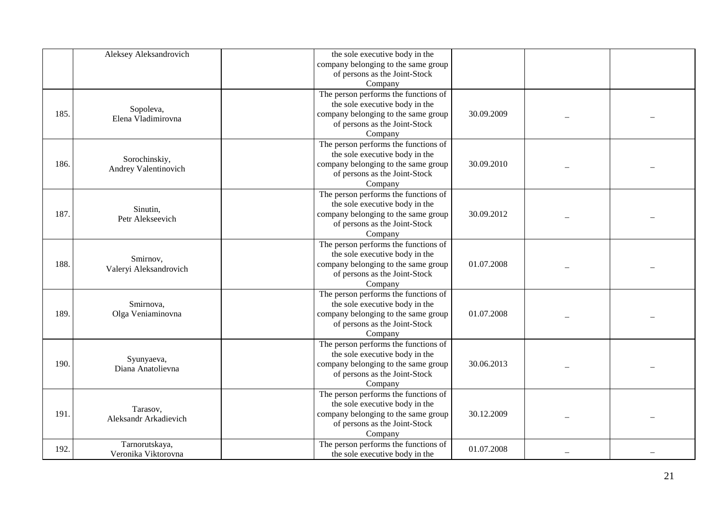|      | Aleksey Aleksandrovich       | the sole executive body in the       |            |  |
|------|------------------------------|--------------------------------------|------------|--|
|      |                              | company belonging to the same group  |            |  |
|      |                              | of persons as the Joint-Stock        |            |  |
|      |                              | Company                              |            |  |
|      |                              | The person performs the functions of |            |  |
|      |                              | the sole executive body in the       |            |  |
| 185. | Sopoleva,                    | company belonging to the same group  | 30.09.2009 |  |
|      | Elena Vladimirovna           | of persons as the Joint-Stock        |            |  |
|      |                              | Company                              |            |  |
|      |                              | The person performs the functions of |            |  |
|      |                              | the sole executive body in the       |            |  |
| 186. | Sorochinskiy,                | company belonging to the same group  | 30.09.2010 |  |
|      | Andrey Valentinovich         | of persons as the Joint-Stock        |            |  |
|      |                              | Company                              |            |  |
|      |                              | The person performs the functions of |            |  |
|      |                              | the sole executive body in the       |            |  |
| 187. | Sinutin,<br>Petr Alekseevich | company belonging to the same group  | 30.09.2012 |  |
|      |                              | of persons as the Joint-Stock        |            |  |
|      |                              | Company                              |            |  |
|      |                              | The person performs the functions of |            |  |
|      | Smirnov,                     | the sole executive body in the       |            |  |
| 188. | Valeryi Aleksandrovich       | company belonging to the same group  | 01.07.2008 |  |
|      |                              | of persons as the Joint-Stock        |            |  |
|      |                              | Company                              |            |  |
|      |                              | The person performs the functions of |            |  |
|      | Smirnova,                    | the sole executive body in the       |            |  |
| 189  | Olga Veniaminovna            | company belonging to the same group  | 01.07.2008 |  |
|      |                              | of persons as the Joint-Stock        |            |  |
|      |                              | Company                              |            |  |
|      |                              | The person performs the functions of |            |  |
|      | Syunyaeva,                   | the sole executive body in the       |            |  |
| 190. | Diana Anatolievna            | company belonging to the same group  | 30.06.2013 |  |
|      |                              | of persons as the Joint-Stock        |            |  |
|      |                              | Company                              |            |  |
|      |                              | The person performs the functions of |            |  |
|      | Tarasov,                     | the sole executive body in the       |            |  |
| 191. | Aleksandr Arkadievich        | company belonging to the same group  | 30.12.2009 |  |
|      |                              | of persons as the Joint-Stock        |            |  |
|      |                              | Company                              |            |  |
| 192. | Tarnorutskaya,               | The person performs the functions of | 01.07.2008 |  |
|      | Veronika Viktorovna          | the sole executive body in the       |            |  |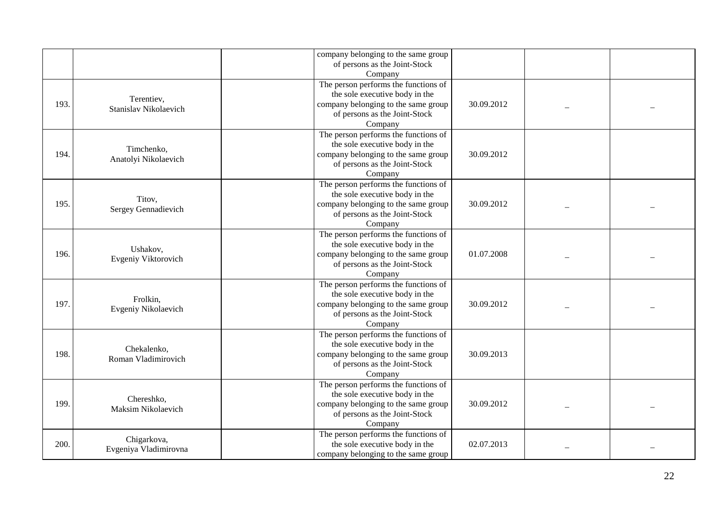|      |                                      | company belonging to the same group<br>of persons as the Joint-Stock<br>Company                                                                           |            |  |
|------|--------------------------------------|-----------------------------------------------------------------------------------------------------------------------------------------------------------|------------|--|
| 193. | Terentiev,<br>Stanislav Nikolaevich  | The person performs the functions of<br>the sole executive body in the<br>company belonging to the same group<br>of persons as the Joint-Stock<br>Company | 30.09.2012 |  |
| 194. | Timchenko,<br>Anatolyi Nikolaevich   | The person performs the functions of<br>the sole executive body in the<br>company belonging to the same group<br>of persons as the Joint-Stock<br>Company | 30.09.2012 |  |
| 195. | Titov,<br>Sergey Gennadievich        | The person performs the functions of<br>the sole executive body in the<br>company belonging to the same group<br>of persons as the Joint-Stock<br>Company | 30.09.2012 |  |
| 196. | Ushakov,<br>Evgeniy Viktorovich      | The person performs the functions of<br>the sole executive body in the<br>company belonging to the same group<br>of persons as the Joint-Stock<br>Company | 01.07.2008 |  |
| 197. | Frolkin,<br>Evgeniy Nikolaevich      | The person performs the functions of<br>the sole executive body in the<br>company belonging to the same group<br>of persons as the Joint-Stock<br>Company | 30.09.2012 |  |
| 198. | Chekalenko,<br>Roman Vladimirovich   | The person performs the functions of<br>the sole executive body in the<br>company belonging to the same group<br>of persons as the Joint-Stock<br>Company | 30.09.2013 |  |
| 199  | Chereshko,<br>Maksim Nikolaevich     | The person performs the functions of<br>the sole executive body in the<br>company belonging to the same group<br>of persons as the Joint-Stock<br>Company | 30.09.2012 |  |
| 200. | Chigarkova,<br>Evgeniya Vladimirovna | The person performs the functions of<br>the sole executive body in the<br>company belonging to the same group                                             | 02.07.2013 |  |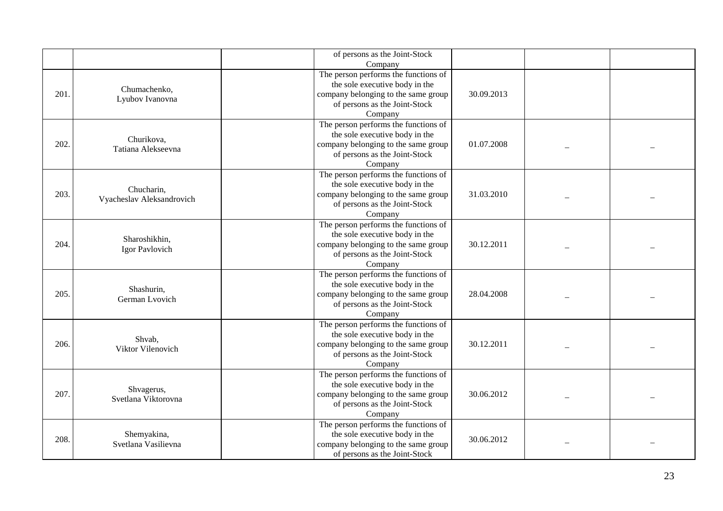|      |                                         | of persons as the Joint-Stock<br>Company                                                                                                                  |            |  |
|------|-----------------------------------------|-----------------------------------------------------------------------------------------------------------------------------------------------------------|------------|--|
| 201. | Chumachenko,<br>Lyubov Ivanovna         | The person performs the functions of<br>the sole executive body in the<br>company belonging to the same group<br>of persons as the Joint-Stock<br>Company | 30.09.2013 |  |
| 202. | Churikova,<br>Tatiana Alekseevna        | The person performs the functions of<br>the sole executive body in the<br>company belonging to the same group<br>of persons as the Joint-Stock<br>Company | 01.07.2008 |  |
| 203. | Chucharin,<br>Vyacheslav Aleksandrovich | The person performs the functions of<br>the sole executive body in the<br>company belonging to the same group<br>of persons as the Joint-Stock<br>Company | 31.03.2010 |  |
| 204. | Sharoshikhin,<br>Igor Pavlovich         | The person performs the functions of<br>the sole executive body in the<br>company belonging to the same group<br>of persons as the Joint-Stock<br>Company | 30.12.2011 |  |
| 205. | Shashurin,<br>German Lvovich            | The person performs the functions of<br>the sole executive body in the<br>company belonging to the same group<br>of persons as the Joint-Stock<br>Company | 28.04.2008 |  |
| 206. | Shvab,<br>Viktor Vilenovich             | The person performs the functions of<br>the sole executive body in the<br>company belonging to the same group<br>of persons as the Joint-Stock<br>Company | 30.12.2011 |  |
| 207. | Shvagerus,<br>Svetlana Viktorovna       | The person performs the functions of<br>the sole executive body in the<br>company belonging to the same group<br>of persons as the Joint-Stock<br>Company | 30.06.2012 |  |
| 208. | Shemyakina,<br>Svetlana Vasilievna      | The person performs the functions of<br>the sole executive body in the<br>company belonging to the same group<br>of persons as the Joint-Stock            | 30.06.2012 |  |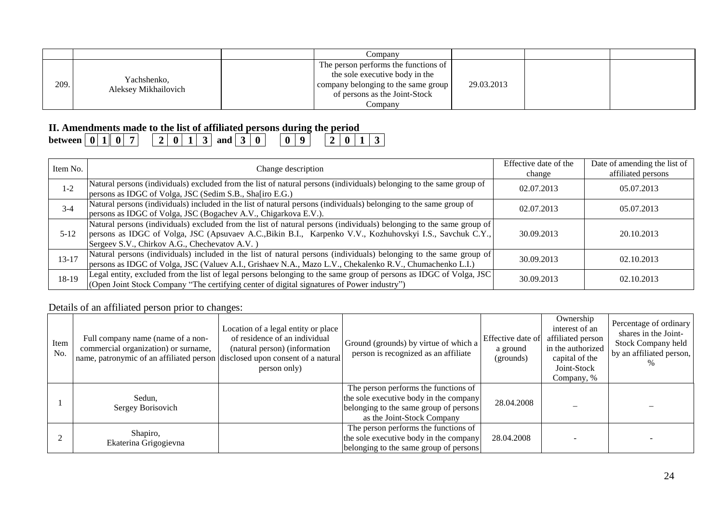|      |                                     | Company                              |            |  |  |
|------|-------------------------------------|--------------------------------------|------------|--|--|
| 209. | Yachshenko,<br>Aleksey Mikhailovich | The person performs the functions of |            |  |  |
|      |                                     | the sole executive body in the       |            |  |  |
|      |                                     | company belonging to the same group  | 29.03.2013 |  |  |
|      |                                     | of persons as the Joint-Stock        |            |  |  |
|      |                                     | Company                              |            |  |  |

## **II. Amendments made to the list of affiliated persons during the period**

| Item No.  | Change description                                                                                                                                                                                                                                                                 | Effective date of the<br>change | Date of amending the list of<br>affiliated persons |
|-----------|------------------------------------------------------------------------------------------------------------------------------------------------------------------------------------------------------------------------------------------------------------------------------------|---------------------------------|----------------------------------------------------|
| $1 - 2$   | Natural persons (individuals) excluded from the list of natural persons (individuals) belonging to the same group of<br>persons as IDGC of Volga, JSC (Sedim S.B., Sha[iro E.G.)                                                                                                   | 02.07.2013                      | 05.07.2013                                         |
| $3 - 4$   | Natural persons (individuals) included in the list of natural persons (individuals) belonging to the same group of<br>persons as IDGC of Volga, JSC (Bogachev A.V., Chigarkova E.V.).                                                                                              | 02.07.2013                      | 05.07.2013                                         |
| $5 - 12$  | Natural persons (individuals) excluded from the list of natural persons (individuals) belonging to the same group of<br>persons as IDGC of Volga, JSC (Apsuvaev A.C., Bikin B.I., Karpenko V.V., Kozhuhovskyi I.S., Savchuk C.Y.,<br>Sergeev S.V., Chirkov A.G., Chechevatov A.V.) | 30.09.2013                      | 20.10.2013                                         |
| $13 - 17$ | Natural persons (individuals) included in the list of natural persons (individuals) belonging to the same group of<br>persons as IDGC of Volga, JSC (Valuev A.I., Grishaev N.A., Mazo L.V., Chekalenko R.V., Chumachenko L.I.)                                                     | 30.09.2013                      | 02.10.2013                                         |
| 18-19     | Legal entity, excluded from the list of legal persons belonging to the same group of persons as IDGC of Volga, JSC<br>(Open Joint Stock Company "The certifying center of digital signatures of Power industry")                                                                   | 30.09.2013                      | 02.10.2013                                         |

Details of an affiliated person prior to changes:

| Item<br>No. | Full company name (name of a non-<br>commercial organization) or surname,<br>name, patronymic of an affiliated person disclosed upon consent of a natural | Location of a legal entity or place<br>of residence of an individual<br>(natural person) (information<br>person only) | Ground (grounds) by virtue of which a<br>person is recognized as an affiliate                                                                          | Effective date of<br>a ground<br>(grounds) | Ownership<br>interest of an<br>affiliated person<br>in the authorized<br>capital of the<br>Joint-Stock<br>Company, % | Percentage of ordinary<br>shares in the Joint-<br><b>Stock Company held</b><br>by an affiliated person, |
|-------------|-----------------------------------------------------------------------------------------------------------------------------------------------------------|-----------------------------------------------------------------------------------------------------------------------|--------------------------------------------------------------------------------------------------------------------------------------------------------|--------------------------------------------|----------------------------------------------------------------------------------------------------------------------|---------------------------------------------------------------------------------------------------------|
|             | Sedun,<br>Sergey Borisovich                                                                                                                               |                                                                                                                       | The person performs the functions of<br>the sole executive body in the company<br>belonging to the same group of persons<br>as the Joint-Stock Company | 28.04.2008                                 |                                                                                                                      |                                                                                                         |
|             | Shapiro,<br>Ekaterina Grigogievna                                                                                                                         |                                                                                                                       | The person performs the functions of<br>the sole executive body in the company<br>belonging to the same group of persons                               | 28.04.2008                                 |                                                                                                                      |                                                                                                         |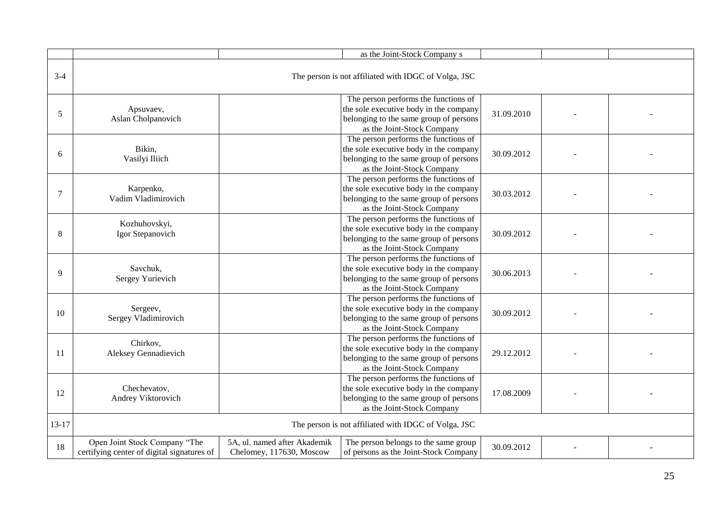|           |                                                                             |                                                          | as the Joint-Stock Company s                                                                                                                           |            |  |
|-----------|-----------------------------------------------------------------------------|----------------------------------------------------------|--------------------------------------------------------------------------------------------------------------------------------------------------------|------------|--|
| $3-4$     |                                                                             |                                                          | The person is not affiliated with IDGC of Volga, JSC                                                                                                   |            |  |
| 5         | Apsuvaev,<br>Aslan Cholpanovich                                             |                                                          | The person performs the functions of<br>the sole executive body in the company<br>belonging to the same group of persons<br>as the Joint-Stock Company | 31.09.2010 |  |
| 6         | Bikin,<br>Vasilyi Iliich                                                    |                                                          | The person performs the functions of<br>the sole executive body in the company<br>belonging to the same group of persons<br>as the Joint-Stock Company | 30.09.2012 |  |
| 7         | Karpenko,<br>Vadim Vladimirovich                                            |                                                          | The person performs the functions of<br>the sole executive body in the company<br>belonging to the same group of persons<br>as the Joint-Stock Company | 30.03.2012 |  |
| 8         | Kozhuhovskyi,<br>Igor Stepanovich                                           |                                                          | The person performs the functions of<br>the sole executive body in the company<br>belonging to the same group of persons<br>as the Joint-Stock Company | 30.09.2012 |  |
| 9         | Savchuk,<br>Sergey Yurievich                                                |                                                          | The person performs the functions of<br>the sole executive body in the company<br>belonging to the same group of persons<br>as the Joint-Stock Company | 30.06.2013 |  |
| 10        | Sergeev,<br>Sergey Vladimirovich                                            |                                                          | The person performs the functions of<br>the sole executive body in the company<br>belonging to the same group of persons<br>as the Joint-Stock Company | 30.09.2012 |  |
| 11        | Chirkov,<br>Aleksey Gennadievich                                            |                                                          | The person performs the functions of<br>the sole executive body in the company<br>belonging to the same group of persons<br>as the Joint-Stock Company | 29.12.2012 |  |
| 12        | Chechevatov,<br>Andrey Viktorovich                                          |                                                          | The person performs the functions of<br>the sole executive body in the company<br>belonging to the same group of persons<br>as the Joint-Stock Company | 17.08.2009 |  |
| $13 - 17$ |                                                                             |                                                          | The person is not affiliated with IDGC of Volga, JSC                                                                                                   |            |  |
| 18        | Open Joint Stock Company "The<br>certifying center of digital signatures of | 5A, ul. named after Akademik<br>Chelomey, 117630, Moscow | The person belongs to the same group<br>of persons as the Joint-Stock Company                                                                          | 30.09.2012 |  |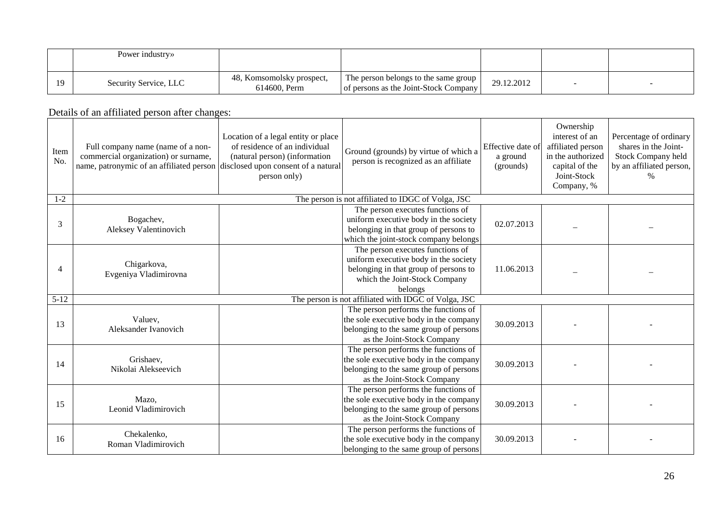|                | Power industry»       |                                           |                                                                                 |            |  |
|----------------|-----------------------|-------------------------------------------|---------------------------------------------------------------------------------|------------|--|
| 1 <sub>O</sub> | Security Service, LLC | 48, Komsomolsky prospect,<br>614600. Perm | The person belongs to the same group 1<br>of persons as the Joint-Stock Company | 29.12.2012 |  |

Details of an affiliated person after changes:

| Item<br>No.    | Full company name (name of a non-<br>commercial organization) or surname,<br>name, patronymic of an affiliated person disclosed upon consent of a natural | Location of a legal entity or place<br>of residence of an individual<br>(natural person) (information<br>person only) | Ground (grounds) by virtue of which a<br>person is recognized as an affiliate                                                                                  | Effective date of<br>a ground<br>(grounds) | Ownership<br>interest of an<br>affiliated person<br>in the authorized<br>capital of the<br>Joint-Stock<br>Company, % | Percentage of ordinary<br>shares in the Joint-<br>Stock Company held<br>by an affiliated person, |
|----------------|-----------------------------------------------------------------------------------------------------------------------------------------------------------|-----------------------------------------------------------------------------------------------------------------------|----------------------------------------------------------------------------------------------------------------------------------------------------------------|--------------------------------------------|----------------------------------------------------------------------------------------------------------------------|--------------------------------------------------------------------------------------------------|
| $1 - 2$        |                                                                                                                                                           |                                                                                                                       | The person is not affiliated to IDGC of Volga, JSC                                                                                                             |                                            |                                                                                                                      |                                                                                                  |
| 3              | Bogachev,<br>Aleksey Valentinovich                                                                                                                        |                                                                                                                       | The person executes functions of<br>uniform executive body in the society<br>belonging in that group of persons to<br>which the joint-stock company belongs    | 02.07.2013                                 |                                                                                                                      |                                                                                                  |
| $\overline{4}$ | Chigarkova,<br>Evgeniya Vladimirovna                                                                                                                      |                                                                                                                       | The person executes functions of<br>uniform executive body in the society<br>belonging in that group of persons to<br>which the Joint-Stock Company<br>belongs | 11.06.2013                                 |                                                                                                                      |                                                                                                  |
| $5 - 12$       |                                                                                                                                                           |                                                                                                                       | The person is not affiliated with IDGC of Volga, JSC                                                                                                           |                                            |                                                                                                                      |                                                                                                  |
| 13             | Valuev,<br>Aleksander Ivanovich                                                                                                                           |                                                                                                                       | The person performs the functions of<br>the sole executive body in the company<br>belonging to the same group of persons<br>as the Joint-Stock Company         | 30.09.2013                                 |                                                                                                                      |                                                                                                  |
| 14             | Grishaev,<br>Nikolai Alekseevich                                                                                                                          |                                                                                                                       | The person performs the functions of<br>the sole executive body in the company<br>belonging to the same group of persons<br>as the Joint-Stock Company         | 30.09.2013                                 |                                                                                                                      |                                                                                                  |
| 15             | Mazo,<br>Leonid Vladimirovich                                                                                                                             |                                                                                                                       | The person performs the functions of<br>the sole executive body in the company<br>belonging to the same group of persons<br>as the Joint-Stock Company         | 30.09.2013                                 |                                                                                                                      |                                                                                                  |
| 16             | Chekalenko,<br>Roman Vladimirovich                                                                                                                        |                                                                                                                       | The person performs the functions of<br>the sole executive body in the company<br>belonging to the same group of persons                                       | 30.09.2013                                 |                                                                                                                      |                                                                                                  |